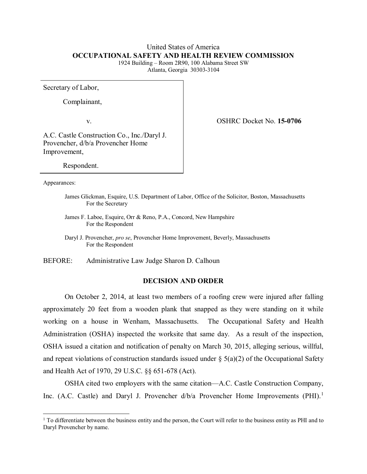# United States of America **OCCUPATIONAL SAFETY AND HEALTH REVIEW COMMISSION**

1924 Building – Room 2R90, 100 Alabama Street SW Atlanta, Georgia 30303-3104

Secretary of Labor,

Complainant,

v. OSHRC Docket No. **15-0706**

A.C. Castle Construction Co., Inc./Daryl J. Provencher, d/b/a Provencher Home Improvement,

Respondent.

Appearances:

l

- James Glickman, Esquire, U.S. Department of Labor, Office of the Solicitor, Boston, Massachusetts For the Secretary
- James F. Laboe, Esquire, Orr & Reno, P.A., Concord, New Hampshire For the Respondent
- Daryl J. Provencher, *pro se*, Provencher Home Improvement, Beverly, Massachusetts For the Respondent

BEFORE: Administrative Law Judge Sharon D. Calhoun

# **DECISION AND ORDER**

On October 2, 2014, at least two members of a roofing crew were injured after falling approximately 20 feet from a wooden plank that snapped as they were standing on it while working on a house in Wenham, Massachusetts. The Occupational Safety and Health Administration (OSHA) inspected the worksite that same day. As a result of the inspection, OSHA issued a citation and notification of penalty on March 30, 2015, alleging serious, willful, and repeat violations of construction standards issued under  $\S(5(a)(2))$  of the Occupational Safety and Health Act of 1970, 29 U.S.C. §§ 651-678 (Act).

OSHA cited two employers with the same citation—A.C. Castle Construction Company, Inc. (A.C. Castle) and Daryl J. Provencher d/b/a Provencher Home Improvements (PHI).<sup>[1](#page-0-0)</sup>

<span id="page-0-0"></span> $1$  To differentiate between the business entity and the person, the Court will refer to the business entity as PHI and to Daryl Provencher by name.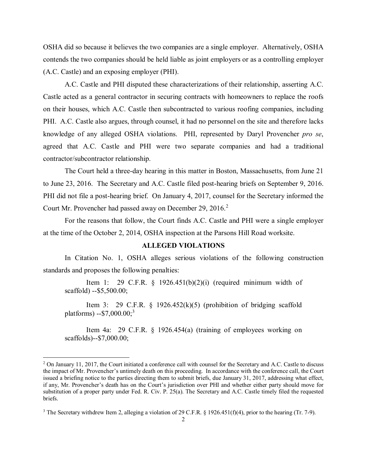OSHA did so because it believes the two companies are a single employer. Alternatively, OSHA contends the two companies should be held liable as joint employers or as a controlling employer (A.C. Castle) and an exposing employer (PHI).

A.C. Castle and PHI disputed these characterizations of their relationship, asserting A.C. Castle acted as a general contractor in securing contracts with homeowners to replace the roofs on their houses, which A.C. Castle then subcontracted to various roofing companies, including PHI. A.C. Castle also argues, through counsel, it had no personnel on the site and therefore lacks knowledge of any alleged OSHA violations. PHI, represented by Daryl Provencher *pro se*, agreed that A.C. Castle and PHI were two separate companies and had a traditional contractor/subcontractor relationship.

The Court held a three-day hearing in this matter in Boston, Massachusetts, from June 21 to June 23, 2016. The Secretary and A.C. Castle filed post-hearing briefs on September 9, 2016. PHI did not file a post-hearing brief. On January 4, 2017, counsel for the Secretary informed the Court Mr. Provencher had passed away on December [2](#page-1-0)9, 2016.<sup>2</sup>

For the reasons that follow, the Court finds A.C. Castle and PHI were a single employer at the time of the October 2, 2014, OSHA inspection at the Parsons Hill Road worksite.

#### **ALLEGED VIOLATIONS**

In Citation No. 1, OSHA alleges serious violations of the following construction standards and proposes the following penalties:

Item 1: 29 C.F.R.  $\S$  1926.451(b)(2)(i) (required minimum width of scaffold) --\$5,500.00;

Item 3: 29 C.F.R. § 1926.452 $(k)(5)$  (prohibition of bridging scaffold platforms) --\$7,000.00;<sup>[3](#page-1-1)</sup>

Item 4a: 29 C.F.R. § 1926.454(a) (training of employees working on scaffolds)--\$7,000.00;

 $\overline{\phantom{a}}$ 

<span id="page-1-0"></span> $2$  On January 11, 2017, the Court initiated a conference call with counsel for the Secretary and A.C. Castle to discuss the impact of Mr. Provencher's untimely death on this proceeding. In accordance with the conference call, the Court issued a briefing notice to the parties directing them to submit briefs, due January 31, 2017, addressing what effect, if any, Mr. Provencher's death has on the Court's jurisdiction over PHI and whether either party should move for substitution of a proper party under Fed. R. Civ. P. 25(a). The Secretary and A.C. Castle timely filed the requested briefs.

<span id="page-1-1"></span><sup>&</sup>lt;sup>3</sup> The Secretary withdrew Item 2, alleging a violation of 29 C.F.R. § 1926.451(f)(4), prior to the hearing (Tr. 7-9).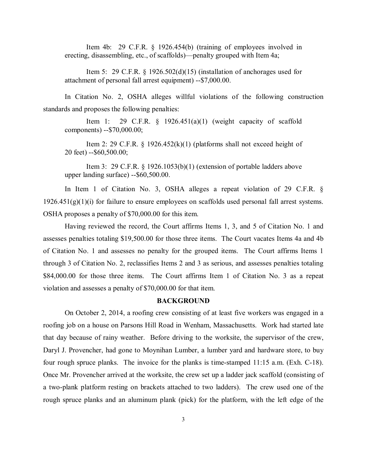Item 4b: 29 C.F.R. § 1926.454(b) (training of employees involved in erecting, disassembling, etc., of scaffolds)—penalty grouped with Item 4a;

Item 5: 29 C.F.R. § 1926.502(d)(15) (installation of anchorages used for attachment of personal fall arrest equipment) --\$7,000.00.

In Citation No. 2, OSHA alleges willful violations of the following construction standards and proposes the following penalties:

Item 1: 29 C.F.R.  $\S$  1926.451(a)(1) (weight capacity of scaffold components) --\$70,000.00;

Item 2: 29 C.F.R.  $\S$  1926.452(k)(1) (platforms shall not exceed height of 20 feet) --\$60,500.00;

Item 3: 29 C.F.R. § 1926.1053(b)(1) (extension of portable ladders above upper landing surface) --\$60,500.00.

In Item 1 of Citation No. 3, OSHA alleges a repeat violation of 29 C.F.R. §  $1926.451(g)(1)(i)$  for failure to ensure employees on scaffolds used personal fall arrest systems. OSHA proposes a penalty of \$70,000.00 for this item.

Having reviewed the record, the Court affirms Items 1, 3, and 5 of Citation No. 1 and assesses penalties totaling \$19,500.00 for those three items. The Court vacates Items 4a and 4b of Citation No. 1 and assesses no penalty for the grouped items. The Court affirms Items 1 through 3 of Citation No. 2, reclassifies Items 2 and 3 as serious, and assesses penalties totaling \$84,000.00 for those three items. The Court affirms Item 1 of Citation No. 3 as a repeat violation and assesses a penalty of \$70,000.00 for that item.

# **BACKGROUND**

On October 2, 2014, a roofing crew consisting of at least five workers was engaged in a roofing job on a house on Parsons Hill Road in Wenham, Massachusetts. Work had started late that day because of rainy weather. Before driving to the worksite, the supervisor of the crew, Daryl J. Provencher, had gone to Moynihan Lumber, a lumber yard and hardware store, to buy four rough spruce planks. The invoice for the planks is time-stamped 11:15 a.m. (Exh. C-18). Once Mr. Provencher arrived at the worksite, the crew set up a ladder jack scaffold (consisting of a two-plank platform resting on brackets attached to two ladders). The crew used one of the rough spruce planks and an aluminum plank (pick) for the platform, with the left edge of the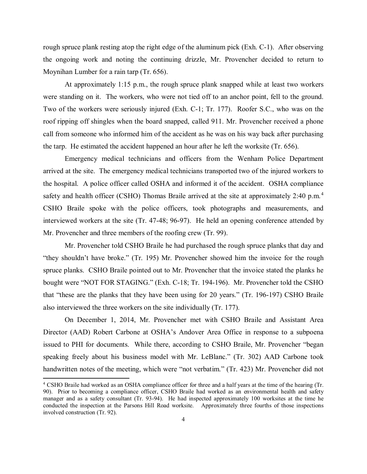rough spruce plank resting atop the right edge of the aluminum pick (Exh. C-1). After observing the ongoing work and noting the continuing drizzle, Mr. Provencher decided to return to Moynihan Lumber for a rain tarp (Tr. 656).

At approximately 1:15 p.m., the rough spruce plank snapped while at least two workers were standing on it. The workers, who were not tied off to an anchor point, fell to the ground. Two of the workers were seriously injured (Exh. C-1; Tr. 177). Roofer S.C., who was on the roof ripping off shingles when the board snapped, called 911. Mr. Provencher received a phone call from someone who informed him of the accident as he was on his way back after purchasing the tarp. He estimated the accident happened an hour after he left the worksite (Tr. 656).

Emergency medical technicians and officers from the Wenham Police Department arrived at the site. The emergency medical technicians transported two of the injured workers to the hospital. A police officer called OSHA and informed it of the accident. OSHA compliance safety and health officer (CSHO) Thomas Braile arrived at the site at approximately 2:[4](#page-3-0)0 p.m.<sup>4</sup> CSHO Braile spoke with the police officers, took photographs and measurements, and interviewed workers at the site (Tr. 47-48; 96-97). He held an opening conference attended by Mr. Provencher and three members of the roofing crew (Tr. 99).

Mr. Provencher told CSHO Braile he had purchased the rough spruce planks that day and "they shouldn't have broke." (Tr. 195) Mr. Provencher showed him the invoice for the rough spruce planks. CSHO Braile pointed out to Mr. Provencher that the invoice stated the planks he bought were "NOT FOR STAGING." (Exh. C-18; Tr. 194-196). Mr. Provencher told the CSHO that "these are the planks that they have been using for 20 years." (Tr. 196-197) CSHO Braile also interviewed the three workers on the site individually (Tr. 177).

On December 1, 2014, Mr. Provencher met with CSHO Braile and Assistant Area Director (AAD) Robert Carbone at OSHA's Andover Area Office in response to a subpoena issued to PHI for documents. While there, according to CSHO Braile, Mr. Provencher "began speaking freely about his business model with Mr. LeBlanc." (Tr. 302) AAD Carbone took handwritten notes of the meeting, which were "not verbatim." (Tr. 423) Mr. Provencher did not

 $\overline{a}$ 

<span id="page-3-0"></span><sup>4</sup> CSHO Braile had worked as an OSHA compliance officer for three and a half years at the time of the hearing (Tr. 90). Prior to becoming a compliance officer, CSHO Braile had worked as an environmental health and safety manager and as a safety consultant (Tr. 93-94). He had inspected approximately 100 worksites at the time he conducted the inspection at the Parsons Hill Road worksite. Approximately three fourths of those inspections involved construction (Tr. 92).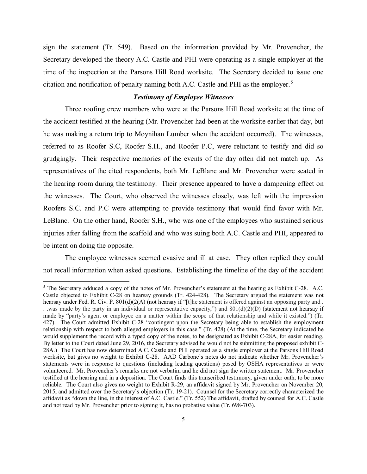sign the statement (Tr. 549). Based on the information provided by Mr. Provencher, the Secretary developed the theory A.C. Castle and PHI were operating as a single employer at the time of the inspection at the Parsons Hill Road worksite. The Secretary decided to issue one citation and notification of penalty naming both A.C. Castle and PHI as the employer.<sup>[5](#page-4-0)</sup>

## *Testimony of Employee Witnesses*

Three roofing crew members who were at the Parsons Hill Road worksite at the time of the accident testified at the hearing (Mr. Provencher had been at the worksite earlier that day, but he was making a return trip to Moynihan Lumber when the accident occurred). The witnesses, referred to as Roofer S.C, Roofer S.H., and Roofer P.C, were reluctant to testify and did so grudgingly. Their respective memories of the events of the day often did not match up. As representatives of the cited respondents, both Mr. LeBlanc and Mr. Provencher were seated in the hearing room during the testimony. Their presence appeared to have a dampening effect on the witnesses. The Court, who observed the witnesses closely, was left with the impression Roofers S.C. and P.C were attempting to provide testimony that would find favor with Mr. LeBlanc. On the other hand, Roofer S.H., who was one of the employees who sustained serious injuries after falling from the scaffold and who was suing both A.C. Castle and PHI, appeared to be intent on doing the opposite.

The employee witnesses seemed evasive and ill at ease. They often replied they could not recall information when asked questions. Establishing the timeline of the day of the accident

 $\overline{\phantom{a}}$ 

<span id="page-4-0"></span><sup>&</sup>lt;sup>5</sup> The Secretary adduced a copy of the notes of Mr. Provencher's statement at the hearing as Exhibit C-28. A.C. Castle objected to Exhibit C-28 on hearsay grounds (Tr. 424-428). The Secretary argued the statement was not hearsay under Fed. R. Civ. P. 801(d)(2(A) (not hearsay if "[t]he statement is offered against an opposing party and. . .was made by the party in an individual or representative capacity,") and  $801(d)(2)(D)$  (statement not hearsay if made by "party's agent or employee on a matter within the scope of that relationship and while it existed.") (Tr. 427). The Court admitted Exhibit C-28 "contingent upon the Secretary being able to establish the employment relationship with respect to both alleged employers in this case." (Tr. 428) (At the time, the Secretary indicated he would supplement the record with a typed copy of the notes, to be designated as Exhibit C-28A, for easier reading. By letter to the Court dated June 29, 2016, the Secretary advised he would not be submitting the proposed exhibit C-28A.) The Court has now determined A.C. Castle and PHI operated as a single employer at the Parsons Hill Road worksite, but gives no weight to Exhibit C-28. AAD Carbone's notes do not indicate whether Mr. Provencher's statements were in response to questions (including leading questions) posed by OSHA representatives or were volunteered. Mr. Provencher's remarks are not verbatim and he did not sign the written statement. Mr. Provencher testified at the hearing and in a deposition. The Court finds this transcribed testimony, given under oath, to be more reliable. The Court also gives no weight to Exhibit R-29, an affidavit signed by Mr. Provencher on November 20, 2015, and admitted over the Secretary's objection (Tr. 19-21). Counsel for the Secretary correctly characterized the affidavit as "down the line, in the interest of A.C. Castle." (Tr. 552) The affidavit, drafted by counsel for A.C. Castle and not read by Mr. Provencher prior to signing it, has no probative value (Tr. 698-703).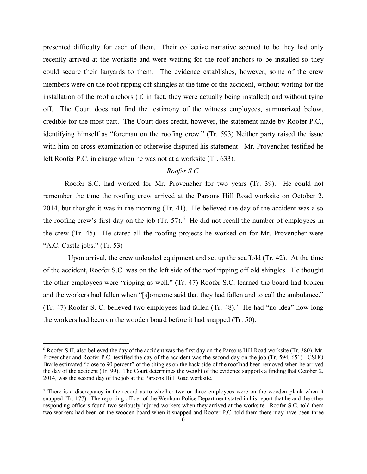presented difficulty for each of them. Their collective narrative seemed to be they had only recently arrived at the worksite and were waiting for the roof anchors to be installed so they could secure their lanyards to them. The evidence establishes, however, some of the crew members were on the roof ripping off shingles at the time of the accident, without waiting for the installation of the roof anchors (if, in fact, they were actually being installed) and without tying off. The Court does not find the testimony of the witness employees, summarized below, credible for the most part. The Court does credit, however, the statement made by Roofer P.C., identifying himself as "foreman on the roofing crew." (Tr. 593) Neither party raised the issue with him on cross-examination or otherwise disputed his statement. Mr. Provencher testified he left Roofer P.C. in charge when he was not at a worksite (Tr. 633).

# *Roofer S.C.*

Roofer S.C. had worked for Mr. Provencher for two years (Tr. 39). He could not remember the time the roofing crew arrived at the Parsons Hill Road worksite on October 2, 2014, but thought it was in the morning (Tr. 41). He believed the day of the accident was also the roofing crew's first day on the job  $(Tr. 57)$ .<sup>[6](#page-5-0)</sup> He did not recall the number of employees in the crew (Tr. 45). He stated all the roofing projects he worked on for Mr. Provencher were "A.C. Castle jobs." (Tr. 53)

 Upon arrival, the crew unloaded equipment and set up the scaffold (Tr. 42). At the time of the accident, Roofer S.C. was on the left side of the roof ripping off old shingles. He thought the other employees were "ripping as well." (Tr. 47) Roofer S.C. learned the board had broken and the workers had fallen when "[s]omeone said that they had fallen and to call the ambulance." (Tr. 4[7](#page-5-1)) Roofer S. C. believed two employees had fallen (Tr. 48).<sup>7</sup> He had "no idea" how long the workers had been on the wooden board before it had snapped (Tr. 50).

l

<span id="page-5-0"></span><sup>6</sup> Roofer S.H. also believed the day of the accident was the first day on the Parsons Hill Road worksite (Tr. 380). Mr. Provencher and Roofer P.C. testified the day of the accident was the second day on the job (Tr. 594, 651). CSHO Braile estimated "close to 90 percent" of the shingles on the back side of the roof had been removed when he arrived the day of the accident (Tr. 99). The Court determines the weight of the evidence supports a finding that October 2, 2014, was the second day of the job at the Parsons Hill Road worksite.

<span id="page-5-1"></span><sup>&</sup>lt;sup>7</sup> There is a discrepancy in the record as to whether two or three employees were on the wooden plank when it snapped (Tr. 177). The reporting officer of the Wenham Police Department stated in his report that he and the other responding officers found two seriously injured workers when they arrived at the worksite. Roofer S.C. told them two workers had been on the wooden board when it snapped and Roofer P.C. told them there may have been three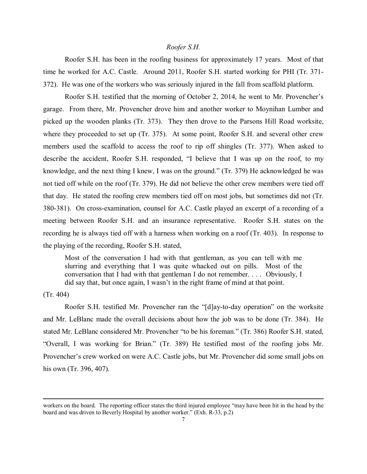#### *Roofer S.H.*

Roofer S.H. has been in the roofing business for approximately 17 years. Most of that time he worked for A.C. Castle. Around 2011, Roofer S.H. started working for PHI (Tr. 371- 372). He was one of the workers who was seriously injured in the fall from scaffold platform.

Roofer S.H. testified that the morning of October 2, 2014, he went to Mr. Provencher's garage. From there, Mr. Provencher drove him and another worker to Moynihan Lumber and picked up the wooden planks (Tr. 373). They then drove to the Parsons Hill Road worksite, where they proceeded to set up (Tr. 375). At some point, Roofer S.H. and several other crew members used the scaffold to access the roof to rip off shingles (Tr. 377). When asked to describe the accident, Roofer S.H. responded, "I believe that I was up on the roof, to my knowledge, and the next thing I knew, I was on the ground." (Tr. 379) He acknowledged he was not tied off while on the roof (Tr. 379). He did not believe the other crew members were tied off that day. He stated the roofing crew members tied off on most jobs, but sometimes did not (Tr. 380-381). On cross-examination, counsel for A.C. Castle played an excerpt of a recording of a meeting between Roofer S.H. and an insurance representative. Roofer S.H. states on the recording he is always tied off with a harness when working on a roof (Tr. 403). In response to the playing of the recording, Roofer S.H. stated,

Most of the conversation I had with that gentleman, as you can tell with me slurring and everything that I was quite whacked out on pills. Most of the conversation that I had with that gentleman I do not remember. . . . Obviously, I did say that, but once again, I wasn't in the right frame of mind at that point.

# (Tr. 404)

 $\overline{\phantom{a}}$ 

Roofer S.H. testified Mr. Provencher ran the "[d]ay-to-day operation" on the worksite and Mr. LeBlanc made the overall decisions about how the job was to be done (Tr. 384). He stated Mr. LeBlanc considered Mr. Provencher "to be his foreman." (Tr. 386) Roofer S.H. stated, "Overall, I was working for Brian." (Tr. 389) He testified most of the roofing jobs Mr. Provencher's crew worked on were A.C. Castle jobs, but Mr. Provencher did some small jobs on his own (Tr. 396, 407).

workers on the board. The reporting officer states the third injured employee "may have been hit in the head by the board and was driven to Beverly Hospital by another worker." (Exh. R-33, p.2)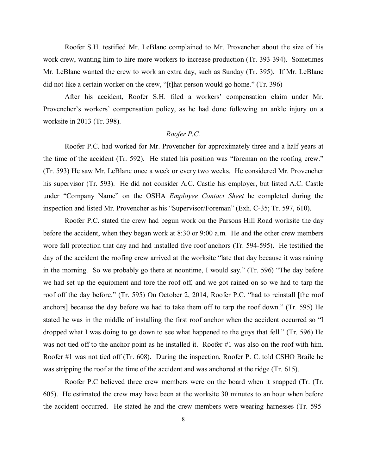Roofer S.H. testified Mr. LeBlanc complained to Mr. Provencher about the size of his work crew, wanting him to hire more workers to increase production (Tr. 393-394). Sometimes Mr. LeBlanc wanted the crew to work an extra day, such as Sunday (Tr. 395). If Mr. LeBlanc did not like a certain worker on the crew, "[t]hat person would go home." (Tr. 396)

After his accident, Roofer S.H. filed a workers' compensation claim under Mr. Provencher's workers' compensation policy, as he had done following an ankle injury on a worksite in 2013 (Tr. 398).

# *Roofer P.C.*

Roofer P.C. had worked for Mr. Provencher for approximately three and a half years at the time of the accident (Tr. 592). He stated his position was "foreman on the roofing crew." (Tr. 593) He saw Mr. LeBlanc once a week or every two weeks. He considered Mr. Provencher his supervisor (Tr. 593). He did not consider A.C. Castle his employer, but listed A.C. Castle under "Company Name" on the OSHA *Employee Contact Sheet* he completed during the inspection and listed Mr. Provencher as his "Supervisor/Foreman" (Exh. C-35; Tr. 597, 610).

Roofer P.C. stated the crew had begun work on the Parsons Hill Road worksite the day before the accident, when they began work at 8:30 or 9:00 a.m. He and the other crew members wore fall protection that day and had installed five roof anchors (Tr. 594-595). He testified the day of the accident the roofing crew arrived at the worksite "late that day because it was raining in the morning. So we probably go there at noontime, I would say." (Tr. 596) "The day before we had set up the equipment and tore the roof off, and we got rained on so we had to tarp the roof off the day before." (Tr. 595) On October 2, 2014, Roofer P.C. "had to reinstall [the roof anchors] because the day before we had to take them off to tarp the roof down." (Tr. 595) He stated he was in the middle of installing the first roof anchor when the accident occurred so "I dropped what I was doing to go down to see what happened to the guys that fell." (Tr. 596) He was not tied off to the anchor point as he installed it. Roofer #1 was also on the roof with him. Roofer #1 was not tied off (Tr. 608). During the inspection, Roofer P. C. told CSHO Braile he was stripping the roof at the time of the accident and was anchored at the ridge (Tr. 615).

Roofer P.C believed three crew members were on the board when it snapped (Tr. (Tr. 605). He estimated the crew may have been at the worksite 30 minutes to an hour when before the accident occurred. He stated he and the crew members were wearing harnesses (Tr. 595-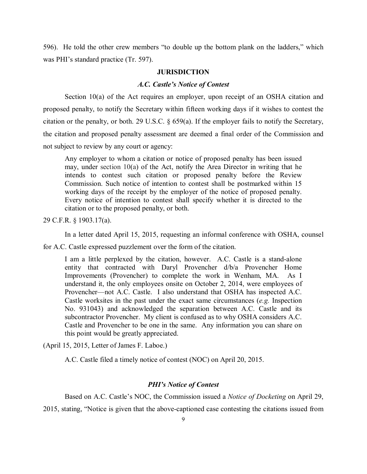596). He told the other crew members "to double up the bottom plank on the ladders," which was PHI's standard practice (Tr. 597).

#### **JURISDICTION**

### *A.C. Castle's Notice of Contest*

Section 10(a) of the Act requires an employer, upon receipt of an OSHA citation and proposed penalty, to notify the Secretary within fifteen working days if it wishes to contest the citation or the penalty, or both. 29 U.S.C. § 659(a). If the employer fails to notify the Secretary, the citation and proposed penalty assessment are deemed a final order of the Commission and not subject to review by any court or agency:

Any employer to whom a citation or notice of proposed penalty has been issued may, under section 10(a) of the Act, notify the Area Director in writing that he intends to contest such citation or proposed penalty before the Review Commission. Such notice of intention to contest shall be postmarked within 15 working days of the receipt by the employer of the notice of proposed penalty. Every notice of intention to contest shall specify whether it is directed to the citation or to the proposed penalty, or both.

29 C.F.R. § 1903.17(a).

In a letter dated April 15, 2015, requesting an informal conference with OSHA, counsel

for A.C. Castle expressed puzzlement over the form of the citation.

I am a little perplexed by the citation, however. A.C. Castle is a stand-alone entity that contracted with Daryl Provencher d/b/a Provencher Home Improvements (Provencher) to complete the work in Wenham, MA. As I understand it, the only employees onsite on October 2, 2014, were employees of Provencher—not A.C. Castle. I also understand that OSHA has inspected A.C. Castle worksites in the past under the exact same circumstances (*e.g.* Inspection No. 931043) and acknowledged the separation between A.C. Castle and its subcontractor Provencher. My client is confused as to why OSHA considers A.C. Castle and Provencher to be one in the same. Any information you can share on this point would be greatly appreciated.

(April 15, 2015, Letter of James F. Laboe.)

A.C. Castle filed a timely notice of contest (NOC) on April 20, 2015.

## *PHI's Notice of Contest*

Based on A.C. Castle's NOC, the Commission issued a *Notice of Docketing* on April 29,

2015, stating, "Notice is given that the above-captioned case contesting the citations issued from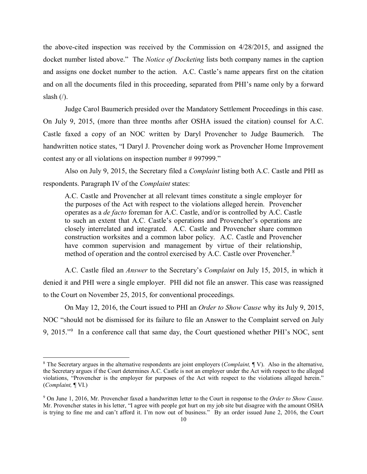the above-cited inspection was received by the Commission on 4/28/2015, and assigned the docket number listed above." The *Notice of Docketing* lists both company names in the caption and assigns one docket number to the action. A.C. Castle's name appears first on the citation and on all the documents filed in this proceeding, separated from PHI's name only by a forward slash  $($ <sup> $\prime$  $)$ .</sup>

Judge Carol Baumerich presided over the Mandatory Settlement Proceedings in this case. On July 9, 2015, (more than three months after OSHA issued the citation) counsel for A.C. Castle faxed a copy of an NOC written by Daryl Provencher to Judge Baumerich. The handwritten notice states, "I Daryl J. Provencher doing work as Provencher Home Improvement contest any or all violations on inspection number # 997999."

Also on July 9, 2015, the Secretary filed a *Complaint* listing both A.C. Castle and PHI as respondents. Paragraph IV of the *Complaint* states:

A.C. Castle and Provencher at all relevant times constitute a single employer for the purposes of the Act with respect to the violations alleged herein. Provencher operates as a *de facto* foreman for A.C. Castle, and/or is controlled by A.C. Castle to such an extent that A.C. Castle's operations and Provencher's operations are closely interrelated and integrated. A.C. Castle and Provencher share common construction worksites and a common labor policy. A.C. Castle and Provencher have common supervision and management by virtue of their relationship, method of operation and the control exercised by A.C. Castle over Provencher.<sup>[8](#page-9-0)</sup>

A.C. Castle filed an *Answer* to the Secretary's *Complaint* on July 15, 2015, in which it denied it and PHI were a single employer. PHI did not file an answer. This case was reassigned to the Court on November 25, 2015, for conventional proceedings.

On May 12, 2016, the Court issued to PHI an *Order to Show Cause* why its July 9, 2015, NOC "should not be dismissed for its failure to file an Answer to the Complaint served on July [9](#page-9-1), 2015." In a conference call that same day, the Court questioned whether PHI's NOC, sent

 $\overline{\phantom{a}}$ 

<span id="page-9-0"></span><sup>8</sup> The Secretary argues in the alternative respondents are joint employers (*Complaint,* ¶ V). Also in the alternative, the Secretary argues if the Court determines A.C. Castle is not an employer under the Act with respect to the alleged violations, "Provencher is the employer for purposes of the Act with respect to the violations alleged herein." (*Complaint,* ¶ VI.)

<span id="page-9-1"></span><sup>9</sup> On June 1, 2016, Mr. Provencher faxed a handwritten letter to the Court in response to the *Order to Show Cause.*  Mr. Provencher states in his letter, "I agree with people got hurt on my job site but disagree with the amount OSHA is trying to fine me and can't afford it. I'm now out of business." By an order issued June 2, 2016, the Court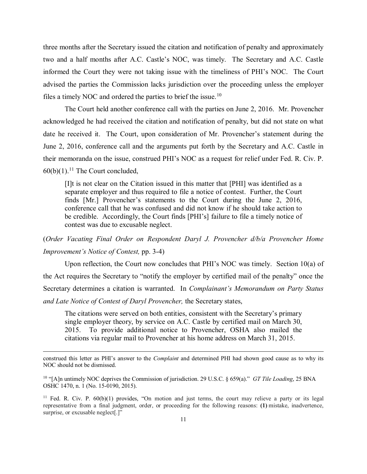three months after the Secretary issued the citation and notification of penalty and approximately two and a half months after A.C. Castle's NOC, was timely. The Secretary and A.C. Castle informed the Court they were not taking issue with the timeliness of PHI's NOC. The Court advised the parties the Commission lacks jurisdiction over the proceeding unless the employer files a timely NOC and ordered the parties to brief the issue.<sup>10</sup>

The Court held another conference call with the parties on June 2, 2016. Mr. Provencher acknowledged he had received the citation and notification of penalty, but did not state on what date he received it. The Court, upon consideration of Mr. Provencher's statement during the June 2, 2016, conference call and the arguments put forth by the Secretary and A.C. Castle in their memoranda on the issue, construed PHI's NOC as a request for relief under Fed. R. Civ. P.  $60(b)(1).$ <sup>[11](#page-10-1)</sup> The Court concluded,

[I]t is not clear on the Citation issued in this matter that [PHI] was identified as a separate employer and thus required to file a notice of contest. Further, the Court finds [Mr.] Provencher's statements to the Court during the June 2, 2016, conference call that he was confused and did not know if he should take action to be credible. Accordingly, the Court finds [PHI's] failure to file a timely notice of contest was due to excusable neglect.

(*Order Vacating Final Order on Respondent Daryl J. Provencher d/b/a Provencher Home Improvement's Notice of Contest,* pp. 3-4)

Upon reflection, the Court now concludes that PHI's NOC was timely. Section 10(a) of the Act requires the Secretary to "notify the employer by certified mail of the penalty" once the Secretary determines a citation is warranted. In *Complainant's Memorandum on Party Status and Late Notice of Contest of Daryl Provencher,* the Secretary states,

The citations were served on both entities, consistent with the Secretary's primary single employer theory, by service on A.C. Castle by certified mail on March 30, 2015. To provide additional notice to Provencher, OSHA also mailed the citations via regular mail to Provencher at his home address on March 31, 2015.

 $\overline{\phantom{a}}$ 

construed this letter as PHI's answer to the *Complaint* and determined PHI had shown good cause as to why its NOC should not be dismissed.

<span id="page-10-0"></span><sup>10</sup> "[A]n untimely NOC deprives the Commission of jurisdiction. 29 U.S.C. § 659(a)." *GT Tile Loading*, 25 BNA OSHC 1470, n. 1 (No. 15-0190, 2015).

<span id="page-10-1"></span><sup>&</sup>lt;sup>11</sup> Fed. R. Civ. P.  $60(b)(1)$  provides, "On motion and just terms, the court may relieve a party or its legal representative from a final judgment, order, or proceeding for the following reasons: **(1)** mistake, inadvertence, surprise, or excusable neglect[.]"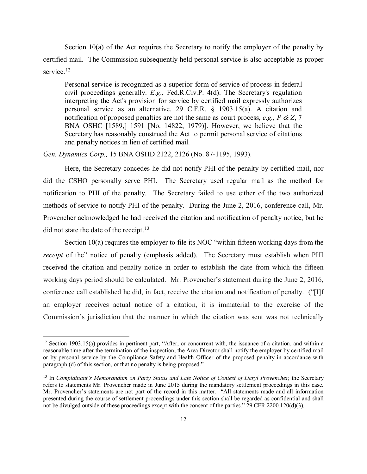Section 10(a) of the Act requires the Secretary to notify the employer of the penalty by certified mail. The Commission subsequently held personal service is also acceptable as proper service.<sup>[12](#page-11-0)</sup>

Personal service is recognized as a superior form of service of process in federal civil proceedings generally. *E.g*., Fed.R.Civ.P. 4(d). The Secretary's regulation interpreting the Act's provision for service by certified mail expressly authorizes personal service as an alternative. 29 C.F.R. § 1903.15(a). A citation and notification of proposed penalties are not the same as court process, *e.g., P & Z*, 7 BNA OSHC [1589,] 1591 [No. 14822, 1979)]. However, we believe that the Secretary has reasonably construed the Act to permit personal service of citations and penalty notices in lieu of certified mail.

*Gen. Dynamics Corp.,* 15 BNA OSHD 2122, 2126 (No. 87-1195, 1993).

 $\overline{\phantom{a}}$ 

Here, the Secretary concedes he did not notify PHI of the penalty by certified mail, nor did the CSHO personally serve PHI. The Secretary used regular mail as the method for notification to PHI of the penalty. The Secretary failed to use either of the two authorized methods of service to notify PHI of the penalty. During the June 2, 2016, conference call, Mr. Provencher acknowledged he had received the citation and notification of penalty notice, but he did not state the date of the receipt.<sup>[13](#page-11-1)</sup>

Section 10(a) requires the employer to file its NOC "within fifteen working days from the *receipt* of the" notice of penalty (emphasis added). The Secretary must establish when PHI received the citation and penalty notice in order to establish the date from which the fifteen working days period should be calculated. Mr. Provencher's statement during the June 2, 2016, conference call established he did, in fact, receive the citation and notification of penalty. ("[I]f an employer receives actual notice of a citation, it is immaterial to the exercise of the Commission's jurisdiction that the manner in which the citation was sent was not technically

<span id="page-11-0"></span> $12$  Section 1903.15(a) provides in pertinent part, "After, or concurrent with, the issuance of a citation, and within a reasonable time after the termination of the inspection, the Area Director shall notify the employer by certified mail or by personal service by the Compliance Safety and Health Officer of the proposed penalty in accordance with paragraph (d) of this section, or that no penalty is being proposed."

<span id="page-11-1"></span><sup>&</sup>lt;sup>13</sup> In *Complainant's Memorandum on Party Status and Late Notice of Contest of Daryl Provencher, the Secretary* refers to statements Mr. Provencher made in June 2015 during the mandatory settlement proceedings in this case. Mr. Provencher's statements are not part of the record in this matter. "All statements made and all information presented during the course of settlement proceedings under this section shall be regarded as confidential and shall not be divulged outside of these proceedings except with the consent of the parties." 29 CFR 2200.120(d)(3).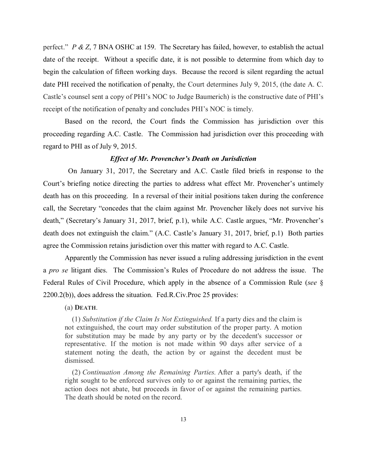perfect." *P & Z*, 7 BNA OSHC at 159. The Secretary has failed, however, to establish the actual date of the receipt. Without a specific date, it is not possible to determine from which day to begin the calculation of fifteen working days. Because the record is silent regarding the actual date PHI received the notification of penalty, the Court determines July 9, 2015, (the date A. C. Castle's counsel sent a copy of PHI's NOC to Judge Baumerich) is the constructive date of PHI's receipt of the notification of penalty and concludes PHI's NOC is timely.

Based on the record, the Court finds the Commission has jurisdiction over this proceeding regarding A.C. Castle. The Commission had jurisdiction over this proceeding with regard to PHI as of July 9, 2015.

## *Effect of Mr. Provencher's Death on Jurisdiction*

 On January 31, 2017, the Secretary and A.C. Castle filed briefs in response to the Court's briefing notice directing the parties to address what effect Mr. Provencher's untimely death has on this proceeding. In a reversal of their initial positions taken during the conference call, the Secretary "concedes that the claim against Mr. Provencher likely does not survive his death," (Secretary's January 31, 2017, brief, p.1), while A.C. Castle argues, "Mr. Provencher's death does not extinguish the claim." (A.C. Castle's January 31, 2017, brief, p.1) Both parties agree the Commission retains jurisdiction over this matter with regard to A.C. Castle.

Apparently the Commission has never issued a ruling addressing jurisdiction in the event a *pro se* litigant dies. The Commission's Rules of Procedure do not address the issue. The Federal Rules of Civil Procedure, which apply in the absence of a Commission Rule (*see* § 2200.2(b)), does address the situation. Fed.R.Civ.Proc 25 provides:

### (a) **DEATH**.

(1) *Substitution if the Claim Is Not Extinguished.* If a party dies and the claim is not extinguished, the court may order substitution of the proper party. A motion for substitution may be made by any party or by the decedent's successor or representative. If the motion is not made within 90 days after service of a statement noting the death, the action by or against the decedent must be dismissed.

(2) *Continuation Among the Remaining Parties.* After a party's death, if the right sought to be enforced survives only to or against the remaining parties, the action does not abate, but proceeds in favor of or against the remaining parties. The death should be noted on the record.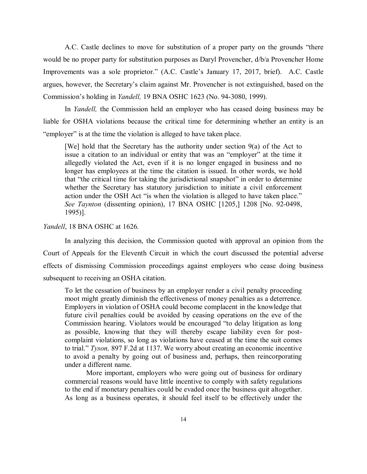A.C. Castle declines to move for substitution of a proper party on the grounds "there would be no proper party for substitution purposes as Daryl Provencher, d/b/a Provencher Home Improvements was a sole proprietor." (A.C. Castle's January 17, 2017, brief). A.C. Castle argues, however, the Secretary's claim against Mr. Provencher is not extinguished, based on the Commission's holding in *Yandell,* 19 BNA OSHC 1623 (No. 94-3080, 1999).

In *Yandell,* the Commission held an employer who has ceased doing business may be liable for OSHA violations because the critical time for determining whether an entity is an "employer" is at the time the violation is alleged to have taken place.

[We] hold that the Secretary has the authority under section 9(a) of the Act to issue a citation to an individual or entity that was an "employer" at the time it allegedly violated the Act, even if it is no longer engaged in business and no longer has employees at the time the citation is issued. In other words, we hold that "the critical time for taking the jurisdictional snapshot" in order to determine whether the Secretary has statutory jurisdiction to initiate a civil enforcement action under the OSH Act "is when the violation is alleged to have taken place." *See Taynton* (dissenting opinion), 17 BNA OSHC [1205,] 1208 [No. 92-0498, 1995)].

# *Yandell*, 18 BNA OSHC at 1626.

In analyzing this decision, the Commission quoted with approval an opinion from the Court of Appeals for the Eleventh Circuit in which the court discussed the potential adverse effects of dismissing Commission proceedings against employers who cease doing business subsequent to receiving an OSHA citation.

To let the cessation of business by an employer render a civil penalty proceeding moot might greatly diminish the effectiveness of money penalties as a deterrence. Employers in violation of OSHA could become complacent in the knowledge that future civil penalties could be avoided by ceasing operations on the eve of the Commission hearing. Violators would be encouraged "to delay litigation as long as possible, knowing that they will thereby escape liability even for postcomplaint violations, so long as violations have ceased at the time the suit comes to trial." *Tyson,* 897 F.2d at 1137. We worry about creating an economic incentive to avoid a penalty by going out of business and, perhaps, then reincorporating under a different name.

More important, employers who were going out of business for ordinary commercial reasons would have little incentive to comply with safety regulations to the end if monetary penalties could be evaded once the business quit altogether. As long as a business operates, it should feel itself to be effectively under the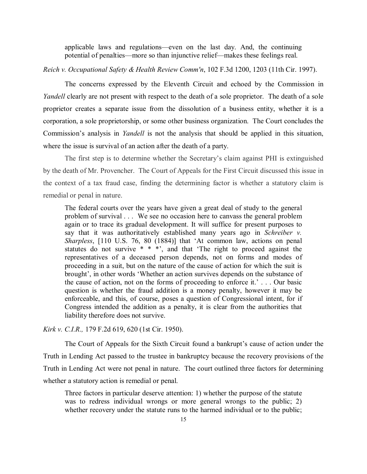applicable laws and regulations—even on the last day. And, the continuing potential of penalties—more so than injunctive relief—makes these feelings real.

*Reich v. Occupational Safety & Health Review Comm'n*, 102 F.3d 1200, 1203 (11th Cir. 1997).

The concerns expressed by the Eleventh Circuit and echoed by the Commission in *Yandell* clearly are not present with respect to the death of a sole proprietor. The death of a sole proprietor creates a separate issue from the dissolution of a business entity, whether it is a corporation, a sole proprietorship, or some other business organization. The Court concludes the Commission's analysis in *Yandell* is not the analysis that should be applied in this situation, where the issue is survival of an action after the death of a party.

The first step is to determine whether the Secretary's claim against PHI is extinguished by the death of Mr. Provencher. The Court of Appeals for the First Circuit discussed this issue in the context of a tax fraud case, finding the determining factor is whether a statutory claim is remedial or penal in nature.

The federal courts over the years have given a great deal of study to the general problem of survival . . . We see no occasion here to canvass the general problem again or to trace its gradual development. It will suffice for present purposes to say that it was authoritatively established many years ago in *Schreiber v. Sharpless*, [110 U.S. 76, 80 (1884)] that 'At common law, actions on penal statutes do not survive  $* * *$ , and that 'The right to proceed against the representatives of a deceased person depends, not on forms and modes of proceeding in a suit, but on the nature of the cause of action for which the suit is brought', in other words 'Whether an action survives depends on the substance of the cause of action, not on the forms of proceeding to enforce it.' . . . Our basic question is whether the fraud addition is a money penalty, however it may be enforceable, and this, of course, poses a question of Congressional intent, for if Congress intended the addition as a penalty, it is clear from the authorities that liability therefore does not survive.

*Kirk v. C.I.R.,* 179 F.2d 619, 620 (1st Cir. 1950).

 The Court of Appeals for the Sixth Circuit found a bankrupt's cause of action under the Truth in Lending Act passed to the trustee in bankruptcy because the recovery provisions of the Truth in Lending Act were not penal in nature. The court outlined three factors for determining whether a statutory action is remedial or penal.

Three factors in particular deserve attention: 1) whether the purpose of the statute was to redress individual wrongs or more general wrongs to the public; 2) whether recovery under the statute runs to the harmed individual or to the public;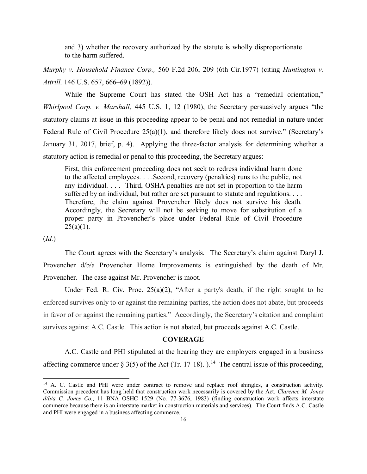and 3) whether the recovery authorized by the statute is wholly disproportionate to the harm suffered.

*Murphy v. Household Finance Corp.,* 560 F.2d 206, 209 (6th Cir.1977) (citing *Huntington v. Attrill,* 146 U.S. 657, 666–69 (1892)).

While the Supreme Court has stated the OSH Act has a "remedial orientation," *Whirlpool Corp. v. Marshall,* 445 U.S. 1, 12 (1980), the Secretary persuasively argues "the statutory claims at issue in this proceeding appear to be penal and not remedial in nature under Federal Rule of Civil Procedure 25(a)(1), and therefore likely does not survive." (Secretary's January 31, 2017, brief, p. 4). Applying the three-factor analysis for determining whether a statutory action is remedial or penal to this proceeding, the Secretary argues:

First, this enforcement proceeding does not seek to redress individual harm done to the affected employees. . . .Second, recovery (penalties) runs to the public, not any individual. . . . Third, OSHA penalties are not set in proportion to the harm suffered by an individual, but rather are set pursuant to statute and regulations. . . . Therefore, the claim against Provencher likely does not survive his death. Accordingly, the Secretary will not be seeking to move for substitution of a proper party in Provencher's place under Federal Rule of Civil Procedure  $25(a)(1)$ .

(*Id.*)

 $\overline{a}$ 

The Court agrees with the Secretary's analysis. The Secretary's claim against Daryl J. Provencher d/b/a Provencher Home Improvements is extinguished by the death of Mr. Provencher. The case against Mr. Provencher is moot.

Under Fed. R. Civ. Proc. 25(a)(2), "After a party's death, if the right sought to be enforced survives only to or against the remaining parties, the action does not abate, but proceeds in favor of or against the remaining parties." Accordingly, the Secretary's citation and complaint survives against A.C. Castle. This action is not abated, but proceeds against A.C. Castle.

#### **COVERAGE**

A.C. Castle and PHI stipulated at the hearing they are employers engaged in a business affecting commerce under § 3(5) of the Act (Tr. 17-18).  $1^{14}$  The central issue of this proceeding,

<span id="page-15-0"></span><sup>&</sup>lt;sup>14</sup> A. C. Castle and PHI were under contract to remove and replace roof shingles, a construction activity. Commission precedent has long held that construction work necessarily is covered by the Act. *Clarence M. Jones d/b/a C. Jones Co*., 11 BNA OSHC 1529 (No. 77-3676, 1983) (finding construction work affects interstate commerce because there is an interstate market in construction materials and services). The Court finds A.C. Castle and PHI were engaged in a business affecting commerce.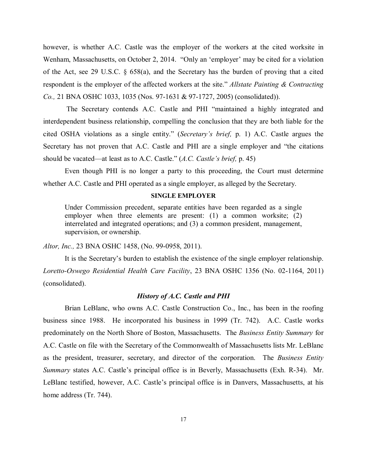however, is whether A.C. Castle was the employer of the workers at the cited worksite in Wenham, Massachusetts, on October 2, 2014. "Only an 'employer' may be cited for a violation of the Act, see 29 U.S.C. § 658(a), and the Secretary has the burden of proving that a cited respondent is the employer of the affected workers at the site." *Allstate Painting & Contracting Co.,* 21 BNA OSHC 1033, 1035 (Nos. 97-1631 & 97-1727, 2005) (consolidated)).

The Secretary contends A.C. Castle and PHI "maintained a highly integrated and interdependent business relationship, compelling the conclusion that they are both liable for the cited OSHA violations as a single entity." (*Secretary's brief,* p. 1) A.C. Castle argues the Secretary has not proven that A.C. Castle and PHI are a single employer and "the citations should be vacated—at least as to A.C. Castle." (*A.C. Castle's brief,* p. 45)

Even though PHI is no longer a party to this proceeding, the Court must determine whether A.C. Castle and PHI operated as a single employer, as alleged by the Secretary.

### **SINGLE EMPLOYER**

Under Commission precedent, separate entities have been regarded as a single employer when three elements are present: (1) a common worksite; (2) interrelated and integrated operations; and (3) a common president, management, supervision, or ownership.

*Altor, Inc.,* 23 BNA OSHC 1458, (No. 99-0958, 2011).

It is the Secretary's burden to establish the existence of the single employer relationship. *Loretto-Oswego Residential Health Care Facility*, 23 BNA OSHC 1356 (No. 02-1164, 2011) (consolidated).

# *History of A.C. Castle and PHI*

Brian LeBlanc, who owns A.C. Castle Construction Co., Inc., has been in the roofing business since 1988. He incorporated his business in 1999 (Tr. 742). A.C. Castle works predominately on the North Shore of Boston, Massachusetts. The *Business Entity Summary* for A.C. Castle on file with the Secretary of the Commonwealth of Massachusetts lists Mr. LeBlanc as the president, treasurer, secretary, and director of the corporation. The *Business Entity Summary* states A.C. Castle's principal office is in Beverly, Massachusetts (Exh. R-34). Mr. LeBlanc testified, however, A.C. Castle's principal office is in Danvers, Massachusetts, at his home address (Tr. 744).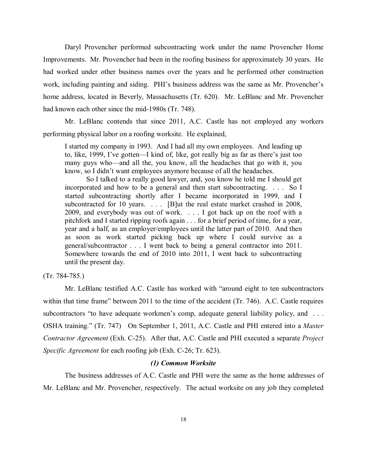Daryl Provencher performed subcontracting work under the name Provencher Home Improvements. Mr. Provencher had been in the roofing business for approximately 30 years. He had worked under other business names over the years and he performed other construction work, including painting and siding. PHI's business address was the same as Mr. Provencher's home address, located in Beverly, Massachusetts (Tr. 620). Mr. LeBlanc and Mr. Provencher had known each other since the mid-1980s (Tr. 748).

Mr. LeBlanc contends that since 2011, A.C. Castle has not employed any workers performing physical labor on a roofing worksite. He explained,

I started my company in 1993. And I had all my own employees. And leading up to, like, 1999, I've gotten—I kind of, like, got really big as far as there's just too many guys who—and all the, you know, all the headaches that go with it, you know, so I didn't want employees anymore because of all the headaches.

So I talked to a really good lawyer, and, you know he told me I should get incorporated and how to be a general and then start subcontracting. . . . So I started subcontracting shortly after I became incorporated in 1999, and I subcontracted for 10 years. . . . [B]ut the real estate market crashed in 2008, 2009, and everybody was out of work. . . . I got back up on the roof with a pitchfork and I started ripping roofs again . . . for a brief period of time, for a year, year and a half, as an employer/employees until the latter part of 2010. And then as soon as work started picking back up where I could survive as a general/subcontractor . . . I went back to being a general contractor into 2011. Somewhere towards the end of 2010 into 2011, I went back to subcontracting until the present day.

(Tr. 784-785.)

Mr. LeBlanc testified A.C. Castle has worked with "around eight to ten subcontractors within that time frame" between 2011 to the time of the accident (Tr. 746). A.C. Castle requires subcontractors "to have adequate workmen's comp, adequate general liability policy, and ... OSHA training." (Tr. 747) On September 1, 2011, A.C. Castle and PHI entered into a *Master Contractor Agreement* (Exh. C-25). After that, A.C. Castle and PHI executed a separate *Project Specific Agreement* for each roofing job (Exh. C-26; Tr. 623).

#### *(1) Common Worksite*

The business addresses of A.C. Castle and PHI were the same as the home addresses of Mr. LeBlanc and Mr. Provencher, respectively. The actual worksite on any job they completed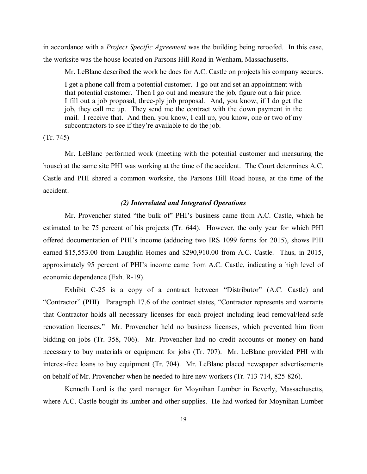in accordance with a *Project Specific Agreement* was the building being reroofed. In this case, the worksite was the house located on Parsons Hill Road in Wenham, Massachusetts.

Mr. LeBlanc described the work he does for A.C. Castle on projects his company secures.

I get a phone call from a potential customer. I go out and set an appointment with that potential customer. Then I go out and measure the job, figure out a fair price. I fill out a job proposal, three-ply job proposal. And, you know, if I do get the job, they call me up. They send me the contract with the down payment in the mail. I receive that. And then, you know, I call up, you know, one or two of my subcontractors to see if they're available to do the job.

(Tr. 745)

Mr. LeBlanc performed work (meeting with the potential customer and measuring the house) at the same site PHI was working at the time of the accident. The Court determines A.C. Castle and PHI shared a common worksite, the Parsons Hill Road house, at the time of the accident.

### *(2) Interrelated and Integrated Operations*

Mr. Provencher stated "the bulk of" PHI's business came from A.C. Castle, which he estimated to be 75 percent of his projects (Tr. 644). However, the only year for which PHI offered documentation of PHI's income (adducing two IRS 1099 forms for 2015), shows PHI earned \$15,553.00 from Laughlin Homes and \$290,910.00 from A.C. Castle. Thus, in 2015, approximately 95 percent of PHI's income came from A.C. Castle, indicating a high level of economic dependence (Exh. R-19).

Exhibit C-25 is a copy of a contract between "Distributor" (A.C. Castle) and "Contractor" (PHI). Paragraph 17.6 of the contract states, "Contractor represents and warrants that Contractor holds all necessary licenses for each project including lead removal/lead-safe renovation licenses." Mr. Provencher held no business licenses, which prevented him from bidding on jobs (Tr. 358, 706). Mr. Provencher had no credit accounts or money on hand necessary to buy materials or equipment for jobs (Tr. 707). Mr. LeBlanc provided PHI with interest-free loans to buy equipment (Tr. 704). Mr. LeBlanc placed newspaper advertisements on behalf of Mr. Provencher when he needed to hire new workers (Tr. 713-714, 825-826).

Kenneth Lord is the yard manager for Moynihan Lumber in Beverly, Massachusetts, where A.C. Castle bought its lumber and other supplies. He had worked for Moynihan Lumber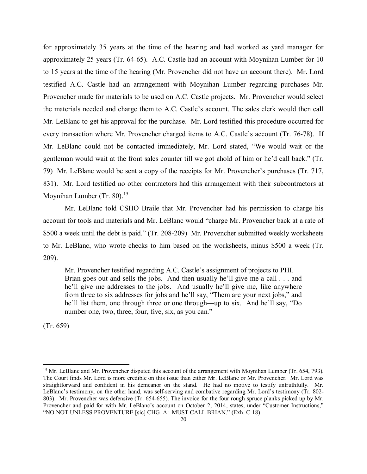for approximately 35 years at the time of the hearing and had worked as yard manager for approximately 25 years (Tr. 64-65). A.C. Castle had an account with Moynihan Lumber for 10 to 15 years at the time of the hearing (Mr. Provencher did not have an account there). Mr. Lord testified A.C. Castle had an arrangement with Moynihan Lumber regarding purchases Mr. Provencher made for materials to be used on A.C. Castle projects. Mr. Provencher would select the materials needed and charge them to A.C. Castle's account. The sales clerk would then call Mr. LeBlanc to get his approval for the purchase. Mr. Lord testified this procedure occurred for every transaction where Mr. Provencher charged items to A.C. Castle's account (Tr. 76-78). If Mr. LeBlanc could not be contacted immediately, Mr. Lord stated, "We would wait or the gentleman would wait at the front sales counter till we got ahold of him or he'd call back." (Tr. 79) Mr. LeBlanc would be sent a copy of the receipts for Mr. Provencher's purchases (Tr. 717, 831). Mr. Lord testified no other contractors had this arrangement with their subcontractors at Moynihan Lumber (Tr. 80).<sup>[15](#page-19-0)</sup>

Mr. LeBlanc told CSHO Braile that Mr. Provencher had his permission to charge his account for tools and materials and Mr. LeBlanc would "charge Mr. Provencher back at a rate of \$500 a week until the debt is paid." (Tr. 208-209) Mr. Provencher submitted weekly worksheets to Mr. LeBlanc, who wrote checks to him based on the worksheets, minus \$500 a week (Tr. 209).

Mr. Provencher testified regarding A.C. Castle's assignment of projects to PHI. Brian goes out and sells the jobs. And then usually he'll give me a call . . . and he'll give me addresses to the jobs. And usually he'll give me, like anywhere from three to six addresses for jobs and he'll say, "Them are your next jobs," and he'll list them, one through three or one through—up to six. And he'll say, "Do number one, two, three, four, five, six, as you can."

(Tr. 659)

 $\overline{\phantom{a}}$ 

<span id="page-19-0"></span><sup>&</sup>lt;sup>15</sup> Mr. LeBlanc and Mr. Provencher disputed this account of the arrangement with Moynihan Lumber (Tr. 654, 793). The Court finds Mr. Lord is more credible on this issue than either Mr. LeBlanc or Mr. Provencher. Mr. Lord was straightforward and confident in his demeanor on the stand. He had no motive to testify untruthfully. Mr. LeBlanc's testimony, on the other hand, was self-serving and combative regarding Mr. Lord's testimony (Tr. 802- 803). Mr. Provencher was defensive (Tr. 654-655). The invoice for the four rough spruce planks picked up by Mr. Provencher and paid for with Mr. LeBlanc's account on October 2, 2014, states, under "Customer Instructions," "NO NOT UNLESS PROVENTURE [sic] CHG A: MUST CALL BRIAN." (Exh. C-18)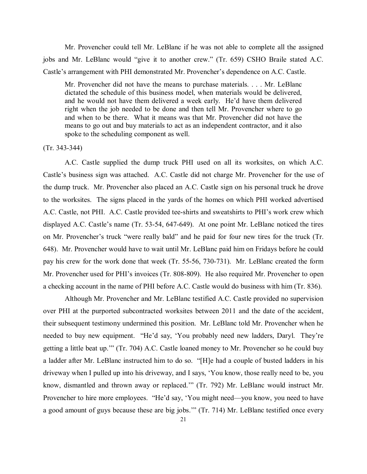Mr. Provencher could tell Mr. LeBlanc if he was not able to complete all the assigned jobs and Mr. LeBlanc would "give it to another crew." (Tr. 659) CSHO Braile stated A.C. Castle's arrangement with PHI demonstrated Mr. Provencher's dependence on A.C. Castle.

Mr. Provencher did not have the means to purchase materials. . . . Mr. LeBlanc dictated the schedule of this business model, when materials would be delivered, and he would not have them delivered a week early. He'd have them delivered right when the job needed to be done and then tell Mr. Provencher where to go and when to be there. What it means was that Mr. Provencher did not have the means to go out and buy materials to act as an independent contractor, and it also spoke to the scheduling component as well.

#### (Tr. 343-344)

A.C. Castle supplied the dump truck PHI used on all its worksites, on which A.C. Castle's business sign was attached. A.C. Castle did not charge Mr. Provencher for the use of the dump truck. Mr. Provencher also placed an A.C. Castle sign on his personal truck he drove to the worksites. The signs placed in the yards of the homes on which PHI worked advertised A.C. Castle, not PHI. A.C. Castle provided tee-shirts and sweatshirts to PHI's work crew which displayed A.C. Castle's name (Tr. 53-54, 647-649). At one point Mr. LeBlanc noticed the tires on Mr. Provencher's truck "were really bald" and he paid for four new tires for the truck (Tr. 648). Mr. Provencher would have to wait until Mr. LeBlanc paid him on Fridays before he could pay his crew for the work done that week (Tr. 55-56, 730-731). Mr. LeBlanc created the form Mr. Provencher used for PHI's invoices (Tr. 808-809). He also required Mr. Provencher to open a checking account in the name of PHI before A.C. Castle would do business with him (Tr. 836).

Although Mr. Provencher and Mr. LeBlanc testified A.C. Castle provided no supervision over PHI at the purported subcontracted worksites between 2011 and the date of the accident, their subsequent testimony undermined this position. Mr. LeBlanc told Mr. Provencher when he needed to buy new equipment. "He'd say, 'You probably need new ladders, Daryl. They're getting a little beat up.'" (Tr. 704) A.C. Castle loaned money to Mr. Provencher so he could buy a ladder after Mr. LeBlanc instructed him to do so. "[H]e had a couple of busted ladders in his driveway when I pulled up into his driveway, and I says, 'You know, those really need to be, you know, dismantled and thrown away or replaced.'" (Tr. 792) Mr. LeBlanc would instruct Mr. Provencher to hire more employees. "He'd say, 'You might need—you know, you need to have a good amount of guys because these are big jobs.'" (Tr. 714) Mr. LeBlanc testified once every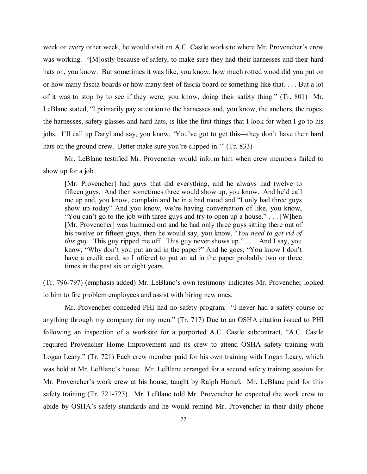week or every other week, he would visit an A.C. Castle worksite where Mr. Provencher's crew was working. "[M]ostly because of safety, to make sure they had their harnesses and their hard hats on, you know. But sometimes it was like, you know, how much rotted wood did you put on or how many fascia boards or how many feet of fascia board or something like that. . . . But a lot of it was to stop by to see if they were, you know, doing their safety thing." (Tr. 801) Mr. LeBlanc stated, "I primarily pay attention to the harnesses and, you know, the anchors, the ropes, the harnesses, safety glasses and hard hats, is like the first things that I look for when I go to his jobs. I'll call up Daryl and say, you know, 'You've got to get this—they don't have their hard hats on the ground crew. Better make sure you're clipped in." (Tr. 833)

Mr. LeBlanc testified Mr. Provencher would inform him when crew members failed to show up for a job.

[Mr. Provencher] had guys that did everything, and he always had twelve to fifteen guys. And then sometimes three would show up, you know. And he'd call me up and, you know, complain and be in a bad mood and "I only had three guys show up today" And you know, we're having conversation of like, you know, "You can't go to the job with three guys and try to open up a house." . . . [W]hen [Mr. Provencher] was bummed out and he had only three guys sitting there out of his twelve or fifteen guys, then he would say, you know, "*You need to get rid of this guy.* This guy ripped me off. This guy never shows up." . . . And I say, you know, "Why don't you put an ad in the paper?" And he goes, "You know I don't have a credit card, so I offered to put an ad in the paper probably two or three times in the past six or eight years.

(Tr. 796-797) (emphasis added) Mr. LeBlanc's own testimony indicates Mr. Provencher looked to him to fire problem employees and assist with hiring new ones.

Mr. Provencher conceded PHI had no safety program. "I never had a safety course or anything through my company for my men." (Tr. 717) Due to an OSHA citation issued to PHI following an inspection of a worksite for a purported A.C. Castle subcontract, "A.C. Castle required Provencher Home Improvement and its crew to attend OSHA safety training with Logan Leary." (Tr. 721) Each crew member paid for his own training with Logan Leary, which was held at Mr. LeBlanc's house. Mr. LeBlanc arranged for a second safety training session for Mr. Provencher's work crew at his house, taught by Ralph Hamel. Mr. LeBlanc paid for this safety training (Tr. 721-723). Mr. LeBlanc told Mr. Provencher he expected the work crew to abide by OSHA's safety standards and he would remind Mr. Provencher in their daily phone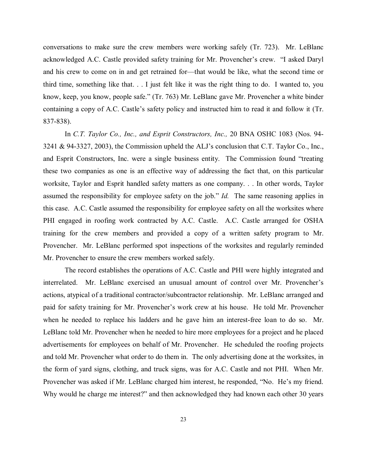conversations to make sure the crew members were working safely (Tr. 723). Mr. LeBlanc acknowledged A.C. Castle provided safety training for Mr. Provencher's crew. "I asked Daryl and his crew to come on in and get retrained for—that would be like, what the second time or third time, something like that. . . I just felt like it was the right thing to do. I wanted to, you know, keep, you know, people safe." (Tr. 763) Mr. LeBlanc gave Mr. Provencher a white binder containing a copy of A.C. Castle's safety policy and instructed him to read it and follow it (Tr. 837-838).

In *C.T. Taylor Co., Inc., and Esprit Constructors, Inc.,* 20 BNA OSHC 1083 (Nos. 94- 3241 & 94-3327, 2003), the Commission upheld the ALJ's conclusion that C.T. Taylor Co., Inc., and Esprit Constructors, Inc. were a single business entity. The Commission found "treating these two companies as one is an effective way of addressing the fact that, on this particular worksite, Taylor and Esprit handled safety matters as one company. . . In other words, Taylor assumed the responsibility for employee safety on the job." *Id.* The same reasoning applies in this case. A.C. Castle assumed the responsibility for employee safety on all the worksites where PHI engaged in roofing work contracted by A.C. Castle. A.C. Castle arranged for OSHA training for the crew members and provided a copy of a written safety program to Mr. Provencher. Mr. LeBlanc performed spot inspections of the worksites and regularly reminded Mr. Provencher to ensure the crew members worked safely.

The record establishes the operations of A.C. Castle and PHI were highly integrated and interrelated. Mr. LeBlanc exercised an unusual amount of control over Mr. Provencher's actions, atypical of a traditional contractor/subcontractor relationship. Mr. LeBlanc arranged and paid for safety training for Mr. Provencher's work crew at his house. He told Mr. Provencher when he needed to replace his ladders and he gave him an interest-free loan to do so. Mr. LeBlanc told Mr. Provencher when he needed to hire more employees for a project and he placed advertisements for employees on behalf of Mr. Provencher. He scheduled the roofing projects and told Mr. Provencher what order to do them in. The only advertising done at the worksites, in the form of yard signs, clothing, and truck signs, was for A.C. Castle and not PHI. When Mr. Provencher was asked if Mr. LeBlanc charged him interest, he responded, "No. He's my friend. Why would he charge me interest?" and then acknowledged they had known each other 30 years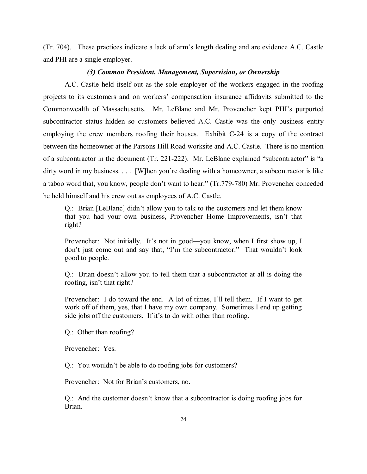(Tr. 704). These practices indicate a lack of arm's length dealing and are evidence A.C. Castle and PHI are a single employer.

#### *(3) Common President, Management, Supervision, or Ownership*

A.C. Castle held itself out as the sole employer of the workers engaged in the roofing projects to its customers and on workers' compensation insurance affidavits submitted to the Commonwealth of Massachusetts. Mr. LeBlanc and Mr. Provencher kept PHI's purported subcontractor status hidden so customers believed A.C. Castle was the only business entity employing the crew members roofing their houses. Exhibit C-24 is a copy of the contract between the homeowner at the Parsons Hill Road worksite and A.C. Castle. There is no mention of a subcontractor in the document (Tr. 221-222). Mr. LeBlanc explained "subcontractor" is "a dirty word in my business. . . . [W]hen you're dealing with a homeowner, a subcontractor is like a taboo word that, you know, people don't want to hear." (Tr.779-780) Mr. Provencher conceded he held himself and his crew out as employees of A.C. Castle.

Q.: Brian [LeBlanc] didn't allow you to talk to the customers and let them know that you had your own business, Provencher Home Improvements, isn't that right?

Provencher: Not initially. It's not in good—you know, when I first show up, I don't just come out and say that, "I'm the subcontractor." That wouldn't look good to people.

Q.: Brian doesn't allow you to tell them that a subcontractor at all is doing the roofing, isn't that right?

Provencher: I do toward the end. A lot of times, I'll tell them. If I want to get work off of them, yes, that I have my own company. Sometimes I end up getting side jobs off the customers. If it's to do with other than roofing.

Q.: Other than roofing?

Provencher: Yes.

Q.: You wouldn't be able to do roofing jobs for customers?

Provencher: Not for Brian's customers, no.

Q.: And the customer doesn't know that a subcontractor is doing roofing jobs for Brian.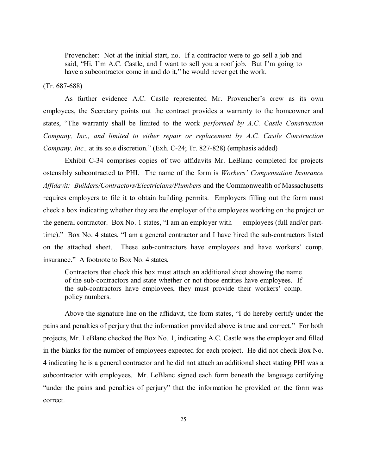Provencher: Not at the initial start, no. If a contractor were to go sell a job and said, "Hi, I'm A.C. Castle, and I want to sell you a roof job. But I'm going to have a subcontractor come in and do it," he would never get the work.

### (Tr. 687-688)

As further evidence A.C. Castle represented Mr. Provencher's crew as its own employees, the Secretary points out the contract provides a warranty to the homeowner and states, "The warranty shall be limited to the work *performed by A.C. Castle Construction Company, Inc., and limited to either repair or replacement by A.C. Castle Construction Company, Inc.,* at its sole discretion." (Exh. C-24; Tr. 827-828) (emphasis added)

Exhibit C-34 comprises copies of two affidavits Mr. LeBlanc completed for projects ostensibly subcontracted to PHI. The name of the form is *Workers' Compensation Insurance Affidavit: Builders/Contractors/Electricians/Plumbers* and the Commonwealth of Massachusetts requires employers to file it to obtain building permits. Employers filling out the form must check a box indicating whether they are the employer of the employees working on the project or the general contractor. Box No. 1 states, "I am an employer with \_\_ employees (full and/or parttime)." Box No. 4 states, "I am a general contractor and I have hired the sub-contractors listed on the attached sheet. These sub-contractors have employees and have workers' comp. insurance." A footnote to Box No. 4 states,

Contractors that check this box must attach an additional sheet showing the name of the sub-contractors and state whether or not those entities have employees. If the sub-contractors have employees, they must provide their workers' comp. policy numbers.

Above the signature line on the affidavit, the form states, "I do hereby certify under the pains and penalties of perjury that the information provided above is true and correct." For both projects, Mr. LeBlanc checked the Box No. 1, indicating A.C. Castle was the employer and filled in the blanks for the number of employees expected for each project. He did not check Box No. 4 indicating he is a general contractor and he did not attach an additional sheet stating PHI was a subcontractor with employees. Mr. LeBlanc signed each form beneath the language certifying "under the pains and penalties of perjury" that the information he provided on the form was correct.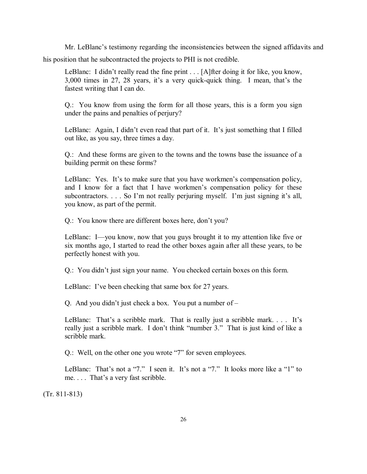Mr. LeBlanc's testimony regarding the inconsistencies between the signed affidavits and his position that he subcontracted the projects to PHI is not credible.

LeBlanc: I didn't really read the fine print . . . [A]fter doing it for like, you know, 3,000 times in 27, 28 years, it's a very quick-quick thing. I mean, that's the fastest writing that I can do.

Q.: You know from using the form for all those years, this is a form you sign under the pains and penalties of perjury?

LeBlanc: Again, I didn't even read that part of it. It's just something that I filled out like, as you say, three times a day.

Q.: And these forms are given to the towns and the towns base the issuance of a building permit on these forms?

LeBlanc: Yes. It's to make sure that you have workmen's compensation policy, and I know for a fact that I have workmen's compensation policy for these subcontractors. . . . So I'm not really perjuring myself. I'm just signing it's all, you know, as part of the permit.

Q.: You know there are different boxes here, don't you?

LeBlanc: I—you know, now that you guys brought it to my attention like five or six months ago, I started to read the other boxes again after all these years, to be perfectly honest with you.

Q.: You didn't just sign your name. You checked certain boxes on this form.

LeBlanc: I've been checking that same box for 27 years.

Q. And you didn't just check a box. You put a number of –

LeBlanc: That's a scribble mark. That is really just a scribble mark.... It's really just a scribble mark. I don't think "number 3." That is just kind of like a scribble mark.

Q.: Well, on the other one you wrote "7" for seven employees.

LeBlanc: That's not a "7." I seen it. It's not a "7." It looks more like a "1" to me. . . . That's a very fast scribble.

(Tr. 811-813)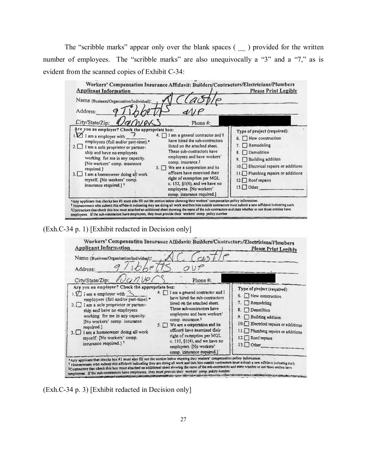The "scribble marks" appear only over the blank spaces (  $\_\$  ) provided for the written number of employees. The "scribble marks" are also unequivocally a "3" and a "7," as is evident from the scanned copies of Exhibit C-34:

| <b>Applicant Information</b><br>Name (Business/Organization/Individual);<br>Address:                                                                                                                                                                                                                                               |                                                                                                                                                                                                                                                                                                                                                                                                           |                                                                                                                                                                                                      |
|------------------------------------------------------------------------------------------------------------------------------------------------------------------------------------------------------------------------------------------------------------------------------------------------------------------------------------|-----------------------------------------------------------------------------------------------------------------------------------------------------------------------------------------------------------------------------------------------------------------------------------------------------------------------------------------------------------------------------------------------------------|------------------------------------------------------------------------------------------------------------------------------------------------------------------------------------------------------|
| City/State/Zip:<br>Are you an employer? Check the appropriate box:                                                                                                                                                                                                                                                                 | Phone #:                                                                                                                                                                                                                                                                                                                                                                                                  | Type of project (required):                                                                                                                                                                          |
| $1.21$ am a employer with<br>employees (full and/or part-time). <sup>*</sup><br>2. I am a sole proprietor or partner-<br>ship and have no employees<br>working for me in any capacity.<br>[No workers' comp. insurance<br>required.]<br>3. I am a homeowner doing all work<br>myself. [No workers' comp.<br>insurance required.] 1 | 4. 1 am a general contractor and I<br>have hired the sub-contractors<br>listed on the attached sheet.<br>These sub-contractors have<br>employees and have workers'<br>comp. insurance. <sup>1</sup><br>We are a corporation and its<br>$5. \Box$<br>officers have exercised their<br>right of exemption per MGL<br>c. 152, §1(4), and we have no<br>employees. [No workers'<br>comp. insurance required.] | $\Box$ New construction<br>$\Box$ Remodeling<br>Demolition<br>Building addition<br>9.<br>10. Electrical repairs or additions<br>11. Plumbing repairs or additions<br>12. Roof repairs<br>$13.$ Other |

(Exh.C-34 p. 1) [Exhibit redacted in Decision only]

| Name (Business/Organization/Individual):<br>QUP<br>Address:                                                                                                                                                                                                                                                                                                                                                                                                                                                                                                                                                                                                                                                                                                                                                                                                                                                                                                             | Please Print Legibly                                                                                                                                                                                                     |
|-------------------------------------------------------------------------------------------------------------------------------------------------------------------------------------------------------------------------------------------------------------------------------------------------------------------------------------------------------------------------------------------------------------------------------------------------------------------------------------------------------------------------------------------------------------------------------------------------------------------------------------------------------------------------------------------------------------------------------------------------------------------------------------------------------------------------------------------------------------------------------------------------------------------------------------------------------------------------|--------------------------------------------------------------------------------------------------------------------------------------------------------------------------------------------------------------------------|
| City/State/Zip: VCANVP1<br>Phone #:<br>Are you an employer? Check the appropriate box:<br>4. [1] I am a general contractor and I<br>1. $\Box$ i am a employer with<br>have hired the sub-contractors<br>employees (full and/or part-time).*<br>listed on the attached sheet.<br>2. I am a sole proprietor or partner-<br>These sub-contractors have<br>ship and have no employees<br>employees and have workers'<br>working for me in any capacity.<br>comp. insurance. <sup>1</sup><br>(No workers' comp. insurance<br>We are a corporation and its<br>5.11<br>required.]<br>officers have exercised their<br>I am a homeowner doing all work<br>3.1<br>right of exemption per MGL<br>myself. [No workers' comp.<br>c. 152, §1(4), and we have no<br>insurance required.] 1<br>employees. [No workers'<br>comp. insurance required.)<br>*Any applicant that checks box #1 must also fill out the section below showing their workers' compensation policy information. | Type of project (required):<br>6. New construction<br>7. Remodeling<br>Demolition<br>9. Building addition<br>10. Electrical repairs or additions<br>11. Plumbing repairs or additions<br>12. Roof repairs<br>$13.$ Other |

(Exh.C-34 p. 3) [Exhibit redacted in Decision only]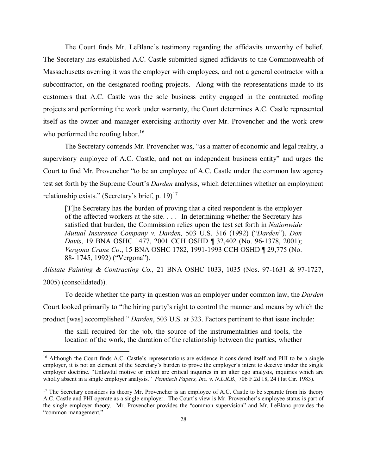The Court finds Mr. LeBlanc's testimony regarding the affidavits unworthy of belief. The Secretary has established A.C. Castle submitted signed affidavits to the Commonwealth of Massachusetts averring it was the employer with employees, and not a general contractor with a subcontractor, on the designated roofing projects. Along with the representations made to its customers that A.C. Castle was the sole business entity engaged in the contracted roofing projects and performing the work under warranty, the Court determines A.C. Castle represented itself as the owner and manager exercising authority over Mr. Provencher and the work crew who performed the roofing labor.<sup>16</sup>

The Secretary contends Mr. Provencher was, "as a matter of economic and legal reality, a supervisory employee of A.C. Castle, and not an independent business entity" and urges the Court to find Mr. Provencher "to be an employee of A.C. Castle under the common law agency test set forth by the Supreme Court's *Darden* analysis, which determines whether an employment relationship exists." (Secretary's brief, p. 19)<sup>17</sup>

[T]he Secretary has the burden of proving that a cited respondent is the employer of the affected workers at the site. . . . In determining whether the Secretary has satisfied that burden, the Commission relies upon the test set forth in *Nationwide Mutual Insurance Company v. Darden,* 503 U.S. 316 (1992) ("*Darden*"). *Don Davis*, 19 BNA OSHC 1477, 2001 CCH OSHD ¶ 32,402 (No. 96-1378, 2001); *Vergona Crane Co*., 15 BNA OSHC 1782, 1991-1993 CCH OSHD ¶ 29,775 (No. 88- 1745, 1992) ("Vergona").

*Allstate Painting & Contracting Co.,* 21 BNA OSHC 1033, 1035 (Nos. 97-1631 & 97-1727, 2005) (consolidated)).

To decide whether the party in question was an employer under common law, the *Darden* Court looked primarily to "the hiring party's right to control the manner and means by which the product [was] accomplished." *Darden*, 503 U.S. at 323. Factors pertinent to that issue include:

the skill required for the job, the source of the instrumentalities and tools, the location of the work, the duration of the relationship between the parties, whether

 $\overline{\phantom{a}}$ 

<span id="page-27-0"></span><sup>&</sup>lt;sup>16</sup> Although the Court finds A.C. Castle's representations are evidence it considered itself and PHI to be a single employer, it is not an element of the Secretary's burden to prove the employer's intent to deceive under the single employer doctrine. "Unlawful motive or intent are critical inquiries in an alter ego analysis, inquiries which are wholly absent in a single employer analysis." *Penntech Papers, Inc. v. N.L.R.B.,* 706 F.2d 18, 24 (1st Cir. 1983).

<span id="page-27-1"></span> $17$  The Secretary considers its theory Mr. Provencher is an employee of A.C. Castle to be separate from his theory A.C. Castle and PHI operate as a single employer. The Court's view is Mr. Provencher's employee status is part of the single employer theory. Mr. Provencher provides the "common supervision" and Mr. LeBlanc provides the "common management."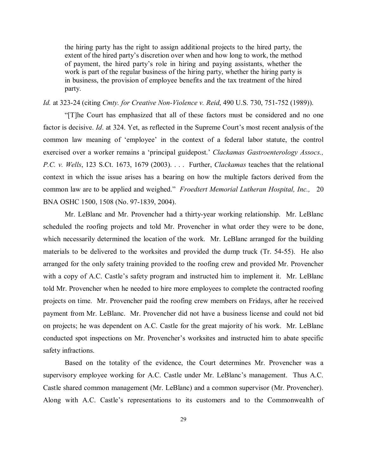the hiring party has the right to assign additional projects to the hired party, the extent of the hired party's discretion over when and how long to work, the method of payment, the hired party's role in hiring and paying assistants, whether the work is part of the regular business of the hiring party, whether the hiring party is in business, the provision of employee benefits and the tax treatment of the hired party.

### *Id.* at 323-24 (citing *Cmty. for Creative Non-Violence v. Reid*, 490 U.S. 730, 751-752 (1989)).

"[T]he Court has emphasized that all of these factors must be considered and no one factor is decisive. *Id*. at 324. Yet, as reflected in the Supreme Court's most recent analysis of the common law meaning of 'employee' in the context of a federal labor statute, the control exercised over a worker remains a 'principal guidepost.' *Clackamas Gastroenterology Assocs., P.C. v. Wells*, 123 S.Ct. 1673, 1679 (2003). . . . Further, *Clackamas* teaches that the relational context in which the issue arises has a bearing on how the multiple factors derived from the common law are to be applied and weighed." *Froedtert Memorial Lutheran Hospital, Inc.,* 20 BNA OSHC 1500, 1508 (No. 97-1839, 2004).

Mr. LeBlanc and Mr. Provencher had a thirty-year working relationship. Mr. LeBlanc scheduled the roofing projects and told Mr. Provencher in what order they were to be done, which necessarily determined the location of the work. Mr. LeBlanc arranged for the building materials to be delivered to the worksites and provided the dump truck (Tr. 54-55). He also arranged for the only safety training provided to the roofing crew and provided Mr. Provencher with a copy of A.C. Castle's safety program and instructed him to implement it. Mr. LeBlanc told Mr. Provencher when he needed to hire more employees to complete the contracted roofing projects on time. Mr. Provencher paid the roofing crew members on Fridays, after he received payment from Mr. LeBlanc. Mr. Provencher did not have a business license and could not bid on projects; he was dependent on A.C. Castle for the great majority of his work. Mr. LeBlanc conducted spot inspections on Mr. Provencher's worksites and instructed him to abate specific safety infractions.

Based on the totality of the evidence, the Court determines Mr. Provencher was a supervisory employee working for A.C. Castle under Mr. LeBlanc's management. Thus A.C. Castle shared common management (Mr. LeBlanc) and a common supervisor (Mr. Provencher). Along with A.C. Castle's representations to its customers and to the Commonwealth of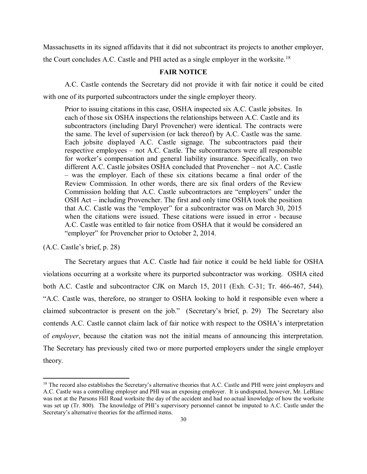Massachusetts in its signed affidavits that it did not subcontract its projects to another employer, the Court concludes A.C. Castle and PHI acted as a single employer in the worksite.<sup>[18](#page-29-0)</sup>

## **FAIR NOTICE**

A.C. Castle contends the Secretary did not provide it with fair notice it could be cited with one of its purported subcontractors under the single employer theory.

Prior to issuing citations in this case, OSHA inspected six A.C. Castle jobsites. In each of those six OSHA inspections the relationships between A.C. Castle and its subcontractors (including Daryl Provencher) were identical. The contracts were the same. The level of supervision (or lack thereof) by A.C. Castle was the same. Each jobsite displayed A.C. Castle signage. The subcontractors paid their respective employees – not A.C. Castle. The subcontractors were all responsible for worker's compensation and general liability insurance. Specifically, on two different A.C. Castle jobsites OSHA concluded that Provencher – not A.C. Castle – was the employer. Each of these six citations became a final order of the Review Commission. In other words, there are six final orders of the Review Commission holding that A.C. Castle subcontractors are "employers" under the OSH Act – including Provencher. The first and only time OSHA took the position that A.C. Castle was the "employer" for a subcontractor was on March 30, 2015 when the citations were issued. These citations were issued in error - because A.C. Castle was entitled to fair notice from OSHA that it would be considered an "employer" for Provencher prior to October 2, 2014.

(A.C. Castle's brief, p. 28)

 $\overline{a}$ 

The Secretary argues that A.C. Castle had fair notice it could be held liable for OSHA violations occurring at a worksite where its purported subcontractor was working. OSHA cited both A.C. Castle and subcontractor CJK on March 15, 2011 (Exh. C-31; Tr. 466-467, 544). "A.C. Castle was, therefore, no stranger to OSHA looking to hold it responsible even where a claimed subcontractor is present on the job." (Secretary's brief, p. 29) The Secretary also contends A.C. Castle cannot claim lack of fair notice with respect to the OSHA's interpretation of *employer*, because the citation was not the initial means of announcing this interpretation. The Secretary has previously cited two or more purported employers under the single employer theory.

<span id="page-29-0"></span><sup>&</sup>lt;sup>18</sup> The record also establishes the Secretary's alternative theories that A.C. Castle and PHI were joint employers and A.C. Castle was a controlling employer and PHI was an exposing employer. It is undisputed, however, Mr. LeBlanc was not at the Parsons Hill Road worksite the day of the accident and had no actual knowledge of how the worksite was set up (Tr. 800). The knowledge of PHI's supervisory personnel cannot be imputed to A.C. Castle under the Secretary's alternative theories for the affirmed items.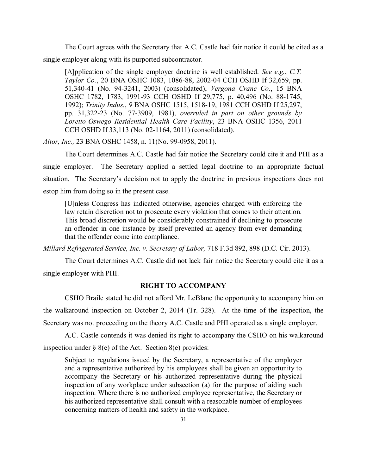The Court agrees with the Secretary that A.C. Castle had fair notice it could be cited as a single employer along with its purported subcontractor.

[A]pplication of the single employer doctrine is well established. *See e.g.*, *C.T. Taylor Co.*, 20 BNA OSHC 1083, 1086-88, 2002-04 CCH OSHD If 32,659, pp. 51,340-41 (No. 94-3241, 2003) (consolidated), *Vergona Crane Co.*, 15 BNA OSHC 1782, 1783, 1991-93 CCH OSHD If 29,775, p. 40,496 (No. 88-1745, 1992); *Trinity Indus.*, *9* BNA OSHC 1515, 1518-19, 1981 CCH OSHD If 25,297, pp. 31,322-23 (No. 77-3909, 1981), *overruled in part on other grounds by Loretto-Oswego Residential Health Care Facility*, 23 BNA OSHC 1356, 2011 CCH OSHD If 33,113 (No. 02-1164, 2011) (consolidated).

*Altor, Inc.,* 23 BNA OSHC 1458, n. 11(No. 99-0958, 2011).

The Court determines A.C. Castle had fair notice the Secretary could cite it and PHI as a single employer. The Secretary applied a settled legal doctrine to an appropriate factual situation. The Secretary's decision not to apply the doctrine in previous inspections does not estop him from doing so in the present case.

[U]nless Congress has indicated otherwise, agencies charged with enforcing the law retain discretion not to prosecute every violation that comes to their attention. This broad discretion would be considerably constrained if declining to prosecute an offender in one instance by itself prevented an agency from ever demanding that the offender come into compliance.

*Millard Refrigerated Service, Inc. v. Secretary of Labor,* 718 F.3d 892, 898 (D.C. Cir. 2013).

The Court determines A.C. Castle did not lack fair notice the Secretary could cite it as a single employer with PHI.

## **RIGHT TO ACCOMPANY**

CSHO Braile stated he did not afford Mr. LeBlanc the opportunity to accompany him on the walkaround inspection on October 2, 2014 (Tr. 328). At the time of the inspection, the Secretary was not proceeding on the theory A.C. Castle and PHI operated as a single employer.

A.C. Castle contends it was denied its right to accompany the CSHO on his walkaround inspection under  $\S$  8(e) of the Act. Section 8(e) provides:

Subject to regulations issued by the Secretary, a representative of the employer and a representative authorized by his employees shall be given an opportunity to accompany the Secretary or his authorized representative during the physical inspection of any workplace under subsection (a) for the purpose of aiding such inspection. Where there is no authorized employee representative, the Secretary or his authorized representative shall consult with a reasonable number of employees concerning matters of health and safety in the workplace.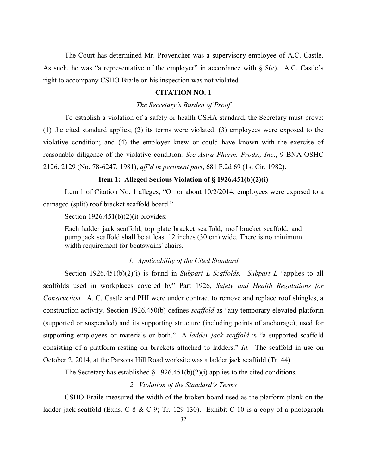The Court has determined Mr. Provencher was a supervisory employee of A.C. Castle. As such, he was "a representative of the employer" in accordance with  $\S$  8(e). A.C. Castle's right to accompany CSHO Braile on his inspection was not violated.

# **CITATION NO. 1**

### *The Secretary's Burden of Proof*

To establish a violation of a safety or health OSHA standard, the Secretary must prove: (1) the cited standard applies; (2) its terms were violated; (3) employees were exposed to the violative condition; and (4) the employer knew or could have known with the exercise of reasonable diligence of the violative condition. *See Astra Pharm. Prods., Inc*., 9 BNA OSHC 2126, 2129 (No. 78-6247, 1981), *aff'd in pertinent part*, 681 F.2d 69 (1st Cir. 1982).

#### **Item 1: Alleged Serious Violation of § 1926.451(b)(2)(i)**

Item 1 of Citation No. 1 alleges, "On or about 10/2/2014, employees were exposed to a damaged (split) roof bracket scaffold board."

Section 1926.451(b)(2)(i) provides:

Each ladder jack scaffold, top plate bracket scaffold, roof bracket scaffold, and pump jack scaffold shall be at least 12 inches (30 cm) wide. There is no minimum width requirement for boatswains' chairs.

## *1. Applicability of the Cited Standard*

Section 1926.451(b)(2)(i) is found in *Subpart L-Scaffolds. Subpart L* "applies to all scaffolds used in workplaces covered by" Part 1926, *Safety and Health Regulations for Construction.* A. C. Castle and PHI were under contract to remove and replace roof shingles, a construction activity. Section 1926.450(b) defines *scaffold* as "any temporary elevated platform (supported or suspended) and its supporting structure (including points of anchorage), used for supporting employees or materials or both." A *ladder jack scaffold* is "a supported scaffold consisting of a platform resting on brackets attached to ladders." *Id.* The scaffold in use on October 2, 2014, at the Parsons Hill Road worksite was a ladder jack scaffold (Tr. 44).

The Secretary has established  $\S 1926.451(b)(2)(i)$  applies to the cited conditions.

## *2. Violation of the Standard's Terms*

CSHO Braile measured the width of the broken board used as the platform plank on the ladder jack scaffold (Exhs. C-8 & C-9; Tr. 129-130). Exhibit C-10 is a copy of a photograph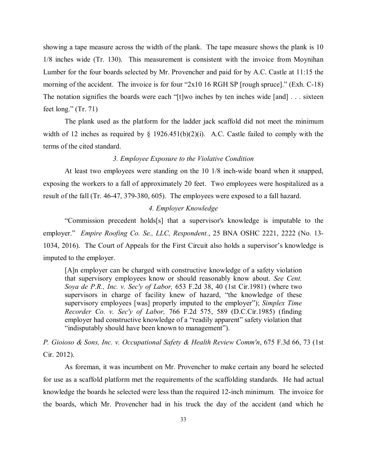showing a tape measure across the width of the plank. The tape measure shows the plank is 10 1/8 inches wide (Tr. 130). This measurement is consistent with the invoice from Moynihan Lumber for the four boards selected by Mr. Provencher and paid for by A.C. Castle at 11:15 the morning of the accident. The invoice is for four "2x10 16 RGH SP [rough spruce]." (Exh. C-18) The notation signifies the boards were each "[t]wo inches by ten inches wide [and] . . . sixteen feet long." (Tr. 71)

The plank used as the platform for the ladder jack scaffold did not meet the minimum width of 12 inches as required by  $\S$  1926.451(b)(2)(i). A.C. Castle failed to comply with the terms of the cited standard.

# *3. Employee Exposure to the Violative Condition*

At least two employees were standing on the 10 1/8 inch-wide board when it snapped, exposing the workers to a fall of approximately 20 feet. Two employees were hospitalized as a result of the fall (Tr. 46-47, 379-380, 605). The employees were exposed to a fall hazard.

## *4. Employer Knowledge*

"Commission precedent holds[s] that a supervisor's knowledge is imputable to the employer." *Empire Roofing Co. Se., LLC, Respondent.*, 25 BNA OSHC 2221, 2222 (No. 13- 1034, 2016). The Court of Appeals for the First Circuit also holds a supervisor's knowledge is imputed to the employer.

[A]n employer can be charged with constructive knowledge of a safety violation that supervisory employees know or should reasonably know about. *See Cent. Soya de P.R., Inc. v. Sec'y of Labor,* 653 F.2d 38, 40 (1st Cir.1981) (where two supervisors in charge of facility knew of hazard, "the knowledge of these supervisory employees [was] properly imputed to the employer"); *Simplex Time Recorder Co. v. Sec'y of Labor,* 766 F.2d 575, 589 (D.C.Cir.1985) (finding employer had constructive knowledge of a "readily apparent" safety violation that "indisputably should have been known to management").

*P. Gioioso & Sons, Inc. v. Occupational Safety & Health Review Comm'n*, 675 F.3d 66, 73 (1st Cir. 2012).

As foreman, it was incumbent on Mr. Provencher to make certain any board he selected for use as a scaffold platform met the requirements of the scaffolding standards. He had actual knowledge the boards he selected were less than the required 12-inch minimum. The invoice for the boards, which Mr. Provencher had in his truck the day of the accident (and which he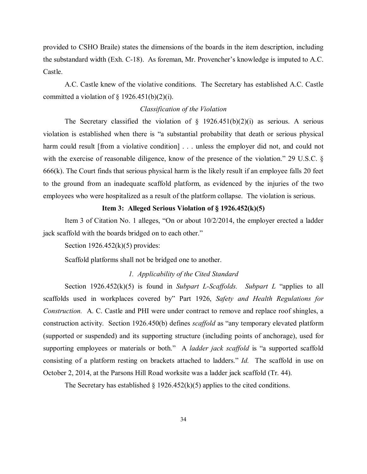provided to CSHO Braile) states the dimensions of the boards in the item description, including the substandard width (Exh. C-18). As foreman, Mr. Provencher's knowledge is imputed to A.C. Castle.

A.C. Castle knew of the violative conditions. The Secretary has established A.C. Castle committed a violation of  $\S$  1926.451(b)(2)(i).

## *Classification of the Violation*

The Secretary classified the violation of  $\S$  1926.451(b)(2)(i) as serious. A serious violation is established when there is "a substantial probability that death or serious physical harm could result [from a violative condition] . . . unless the employer did not, and could not with the exercise of reasonable diligence, know of the presence of the violation." 29 U.S.C. § 666(k). The Court finds that serious physical harm is the likely result if an employee falls 20 feet to the ground from an inadequate scaffold platform, as evidenced by the injuries of the two employees who were hospitalized as a result of the platform collapse. The violation is serious.

# **Item 3: Alleged Serious Violation of § 1926.452(k)(5)**

Item 3 of Citation No. 1 alleges, "On or about 10/2/2014, the employer erected a ladder jack scaffold with the boards bridged on to each other."

Section  $1926.452(k)(5)$  provides:

Scaffold platforms shall not be bridged one to another.

### *1. Applicability of the Cited Standard*

Section 1926.452(k)(5) is found in *Subpart L-Scaffolds. Subpart L* "applies to all scaffolds used in workplaces covered by" Part 1926, *Safety and Health Regulations for Construction.* A. C. Castle and PHI were under contract to remove and replace roof shingles, a construction activity. Section 1926.450(b) defines *scaffold* as "any temporary elevated platform (supported or suspended) and its supporting structure (including points of anchorage), used for supporting employees or materials or both." A *ladder jack scaffold* is "a supported scaffold consisting of a platform resting on brackets attached to ladders." *Id.* The scaffold in use on October 2, 2014, at the Parsons Hill Road worksite was a ladder jack scaffold (Tr. 44).

The Secretary has established  $\S$  1926.452(k)(5) applies to the cited conditions.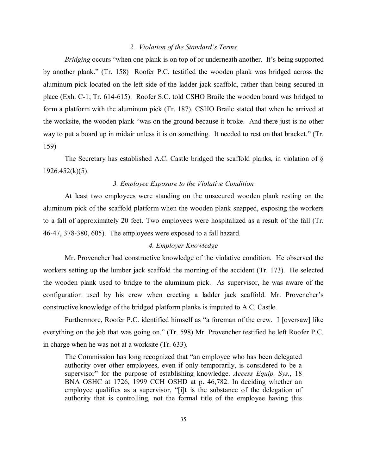### *2. Violation of the Standard's Terms*

*Bridging* occurs "when one plank is on top of or underneath another. It's being supported by another plank." (Tr. 158) Roofer P.C. testified the wooden plank was bridged across the aluminum pick located on the left side of the ladder jack scaffold, rather than being secured in place (Exh. C-1; Tr. 614-615). Roofer S.C. told CSHO Braile the wooden board was bridged to form a platform with the aluminum pick (Tr. 187). CSHO Braile stated that when he arrived at the worksite, the wooden plank "was on the ground because it broke. And there just is no other way to put a board up in midair unless it is on something. It needed to rest on that bracket." (Tr. 159)

The Secretary has established A.C. Castle bridged the scaffold planks, in violation of §  $1926.452(k)(5)$ .

## *3. Employee Exposure to the Violative Condition*

At least two employees were standing on the unsecured wooden plank resting on the aluminum pick of the scaffold platform when the wooden plank snapped, exposing the workers to a fall of approximately 20 feet. Two employees were hospitalized as a result of the fall (Tr. 46-47, 378-380, 605). The employees were exposed to a fall hazard.

## *4. Employer Knowledge*

Mr. Provencher had constructive knowledge of the violative condition. He observed the workers setting up the lumber jack scaffold the morning of the accident (Tr. 173). He selected the wooden plank used to bridge to the aluminum pick. As supervisor, he was aware of the configuration used by his crew when erecting a ladder jack scaffold. Mr. Provencher's constructive knowledge of the bridged platform planks is imputed to A.C. Castle.

Furthermore, Roofer P.C. identified himself as "a foreman of the crew. I [oversaw] like everything on the job that was going on." (Tr. 598) Mr. Provencher testified he left Roofer P.C. in charge when he was not at a worksite (Tr. 633).

The Commission has long recognized that "an employee who has been delegated authority over other employees, even if only temporarily, is considered to be a supervisor" for the purpose of establishing knowledge. *Access Equip. Sys.*, 18 BNA OSHC at 1726, 1999 CCH OSHD at p. 46,782. In deciding whether an employee qualifies as a supervisor, "[i]t is the substance of the delegation of authority that is controlling, not the formal title of the employee having this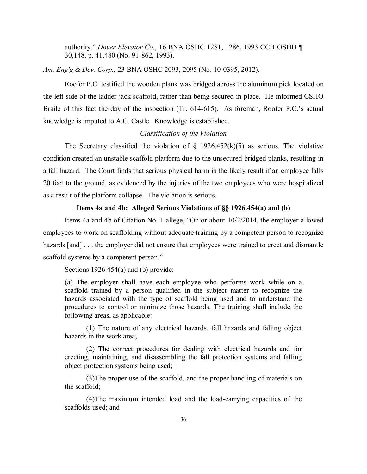authority." *Dover Elevator Co.*, 16 BNA OSHC 1281, 1286, 1993 CCH OSHD ¶ 30,148, p. 41,480 (No. 91-862, 1993).

*Am. Eng'g & Dev. Corp.,* 23 BNA OSHC 2093, 2095 (No. 10-0395, 2012).

Roofer P.C. testified the wooden plank was bridged across the aluminum pick located on the left side of the ladder jack scaffold, rather than being secured in place. He informed CSHO Braile of this fact the day of the inspection (Tr. 614-615). As foreman, Roofer P.C.'s actual knowledge is imputed to A.C. Castle. Knowledge is established.

## *Classification of the Violation*

The Secretary classified the violation of  $\S$  1926.452(k)(5) as serious. The violative condition created an unstable scaffold platform due to the unsecured bridged planks, resulting in a fall hazard. The Court finds that serious physical harm is the likely result if an employee falls 20 feet to the ground, as evidenced by the injuries of the two employees who were hospitalized as a result of the platform collapse. The violation is serious.

## **Items 4a and 4b: Alleged Serious Violations of §§ 1926.454(a) and (b)**

Items 4a and 4b of Citation No. 1 allege, "On or about 10/2/2014, the employer allowed employees to work on scaffolding without adequate training by a competent person to recognize hazards [and] . . . the employer did not ensure that employees were trained to erect and dismantle scaffold systems by a competent person."

Sections 1926.454(a) and (b) provide:

(a) The employer shall have each employee who performs work while on a scaffold trained by a person qualified in the subject matter to recognize the hazards associated with the type of scaffold being used and to understand the procedures to control or minimize those hazards. The training shall include the following areas, as applicable:

(1) The nature of any electrical hazards, fall hazards and falling object hazards in the work area;

(2) The correct procedures for dealing with electrical hazards and for erecting, maintaining, and disassembling the fall protection systems and falling object protection systems being used;

(3)The proper use of the scaffold, and the proper handling of materials on the scaffold;

(4)The maximum intended load and the load-carrying capacities of the scaffolds used; and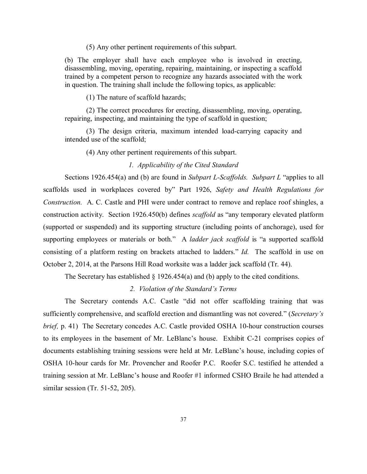(5) Any other pertinent requirements of this subpart.

(b) The employer shall have each employee who is involved in erecting, disassembling, moving, operating, repairing, maintaining, or inspecting a scaffold trained by a competent person to recognize any hazards associated with the work in question. The training shall include the following topics, as applicable:

(1) The nature of scaffold hazards;

 (2) The correct procedures for erecting, disassembling, moving, operating, repairing, inspecting, and maintaining the type of scaffold in question;

 (3) The design criteria, maximum intended load-carrying capacity and intended use of the scaffold;

(4) Any other pertinent requirements of this subpart.

## *1. Applicability of the Cited Standard*

Sections 1926.454(a) and (b) are found in *Subpart L-Scaffolds. Subpart L* "applies to all scaffolds used in workplaces covered by" Part 1926, *Safety and Health Regulations for Construction.* A. C. Castle and PHI were under contract to remove and replace roof shingles, a construction activity. Section 1926.450(b) defines *scaffold* as "any temporary elevated platform (supported or suspended) and its supporting structure (including points of anchorage), used for supporting employees or materials or both." A *ladder jack scaffold* is "a supported scaffold consisting of a platform resting on brackets attached to ladders." *Id.* The scaffold in use on October 2, 2014, at the Parsons Hill Road worksite was a ladder jack scaffold (Tr. 44).

The Secretary has established  $\S$  1926.454(a) and (b) apply to the cited conditions.

#### *2. Violation of the Standard's Terms*

The Secretary contends A.C. Castle "did not offer scaffolding training that was sufficiently comprehensive, and scaffold erection and dismantling was not covered." (*Secretary's brief, p.* 41) The Secretary concedes A.C. Castle provided OSHA 10-hour construction courses to its employees in the basement of Mr. LeBlanc's house. Exhibit C-21 comprises copies of documents establishing training sessions were held at Mr. LeBlanc's house, including copies of OSHA 10-hour cards for Mr. Provencher and Roofer P.C. Roofer S.C. testified he attended a training session at Mr. LeBlanc's house and Roofer #1 informed CSHO Braile he had attended a similar session (Tr. 51-52, 205).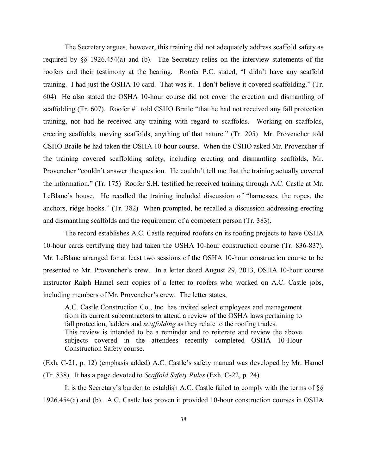The Secretary argues, however, this training did not adequately address scaffold safety as required by §§ 1926.454(a) and (b). The Secretary relies on the interview statements of the roofers and their testimony at the hearing. Roofer P.C. stated, "I didn't have any scaffold training. I had just the OSHA 10 card. That was it. I don't believe it covered scaffolding." (Tr. 604) He also stated the OSHA 10-hour course did not cover the erection and dismantling of scaffolding (Tr. 607). Roofer #1 told CSHO Braile "that he had not received any fall protection training, nor had he received any training with regard to scaffolds. Working on scaffolds, erecting scaffolds, moving scaffolds, anything of that nature." (Tr. 205) Mr. Provencher told CSHO Braile he had taken the OSHA 10-hour course. When the CSHO asked Mr. Provencher if the training covered scaffolding safety, including erecting and dismantling scaffolds, Mr. Provencher "couldn't answer the question. He couldn't tell me that the training actually covered the information." (Tr. 175) Roofer S.H. testified he received training through A.C. Castle at Mr. LeBlanc's house. He recalled the training included discussion of "harnesses, the ropes, the anchors, ridge hooks." (Tr. 382) When prompted, he recalled a discussion addressing erecting and dismantling scaffolds and the requirement of a competent person (Tr. 383).

The record establishes A.C. Castle required roofers on its roofing projects to have OSHA 10-hour cards certifying they had taken the OSHA 10-hour construction course (Tr. 836-837). Mr. LeBlanc arranged for at least two sessions of the OSHA 10-hour construction course to be presented to Mr. Provencher's crew. In a letter dated August 29, 2013, OSHA 10-hour course instructor Ralph Hamel sent copies of a letter to roofers who worked on A.C. Castle jobs, including members of Mr. Provencher's crew. The letter states,

A.C. Castle Construction Co., Inc. has invited select employees and management from its current subcontractors to attend a review of the OSHA laws pertaining to fall protection, ladders and *scaffolding* as they relate to the roofing trades. This review is intended to be a reminder and to reiterate and review the above subjects covered in the attendees recently completed OSHA 10-Hour Construction Safety course.

(Exh. C-21, p. 12) (emphasis added) A.C. Castle's safety manual was developed by Mr. Hamel (Tr. 838). It has a page devoted to *Scaffold Safety Rules* (Exh. C-22, p. 24).

It is the Secretary's burden to establish A.C. Castle failed to comply with the terms of §§ 1926.454(a) and (b). A.C. Castle has proven it provided 10-hour construction courses in OSHA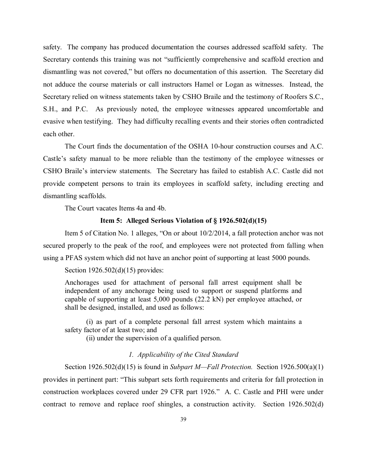safety. The company has produced documentation the courses addressed scaffold safety. The Secretary contends this training was not "sufficiently comprehensive and scaffold erection and dismantling was not covered," but offers no documentation of this assertion. The Secretary did not adduce the course materials or call instructors Hamel or Logan as witnesses. Instead, the Secretary relied on witness statements taken by CSHO Braile and the testimony of Roofers S.C., S.H., and P.C. As previously noted, the employee witnesses appeared uncomfortable and evasive when testifying. They had difficulty recalling events and their stories often contradicted each other.

The Court finds the documentation of the OSHA 10-hour construction courses and A.C. Castle's safety manual to be more reliable than the testimony of the employee witnesses or CSHO Braile's interview statements. The Secretary has failed to establish A.C. Castle did not provide competent persons to train its employees in scaffold safety, including erecting and dismantling scaffolds.

The Court vacates Items 4a and 4b.

# **Item 5: Alleged Serious Violation of § 1926.502(d)(15)**

Item 5 of Citation No. 1 alleges, "On or about 10/2/2014, a fall protection anchor was not secured properly to the peak of the roof, and employees were not protected from falling when using a PFAS system which did not have an anchor point of supporting at least 5000 pounds.

### Section 1926.502(d)(15) provides:

Anchorages used for attachment of personal fall arrest equipment shall be independent of any anchorage being used to support or suspend platforms and capable of supporting at least 5,000 pounds (22.2 kN) per employee attached, or shall be designed, installed, and used as follows:

(i) as part of a complete personal fall arrest system which maintains a safety factor of at least two; and

(ii) under the supervision of a qualified person.

### *1. Applicability of the Cited Standard*

Section 1926.502(d)(15) is found in *Subpart M—Fall Protection.* Section 1926.500(a)(1) provides in pertinent part: "This subpart sets forth requirements and criteria for fall protection in construction workplaces covered under 29 CFR part 1926." A. C. Castle and PHI were under contract to remove and replace roof shingles, a construction activity. Section 1926.502(d)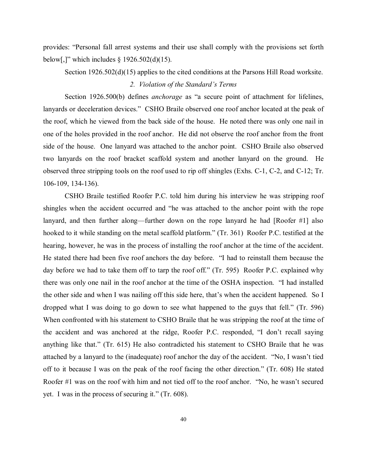provides: "Personal fall arrest systems and their use shall comply with the provisions set forth below[,]" which includes  $\S$  1926.502(d)(15).

Section 1926.502(d)(15) applies to the cited conditions at the Parsons Hill Road worksite. *2. Violation of the Standard's Terms*

Section 1926.500(b) defines *anchorage* as "a secure point of attachment for lifelines, lanyards or deceleration devices." CSHO Braile observed one roof anchor located at the peak of the roof, which he viewed from the back side of the house. He noted there was only one nail in one of the holes provided in the roof anchor. He did not observe the roof anchor from the front side of the house. One lanyard was attached to the anchor point. CSHO Braile also observed two lanyards on the roof bracket scaffold system and another lanyard on the ground. He observed three stripping tools on the roof used to rip off shingles (Exhs. C-1, C-2, and C-12; Tr. 106-109, 134-136).

CSHO Braile testified Roofer P.C. told him during his interview he was stripping roof shingles when the accident occurred and "he was attached to the anchor point with the rope lanyard, and then further along—further down on the rope lanyard he had [Roofer #1] also hooked to it while standing on the metal scaffold platform." (Tr. 361) Roofer P.C. testified at the hearing, however, he was in the process of installing the roof anchor at the time of the accident. He stated there had been five roof anchors the day before. "I had to reinstall them because the day before we had to take them off to tarp the roof off." (Tr. 595) Roofer P.C. explained why there was only one nail in the roof anchor at the time of the OSHA inspection. "I had installed the other side and when I was nailing off this side here, that's when the accident happened. So I dropped what I was doing to go down to see what happened to the guys that fell." (Tr. 596) When confronted with his statement to CSHO Braile that he was stripping the roof at the time of the accident and was anchored at the ridge, Roofer P.C. responded, "I don't recall saying anything like that." (Tr. 615) He also contradicted his statement to CSHO Braile that he was attached by a lanyard to the (inadequate) roof anchor the day of the accident. "No, I wasn't tied off to it because I was on the peak of the roof facing the other direction." (Tr. 608) He stated Roofer #1 was on the roof with him and not tied off to the roof anchor. "No, he wasn't secured yet. I was in the process of securing it." (Tr. 608).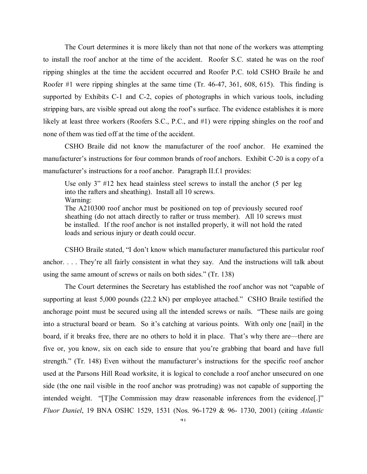The Court determines it is more likely than not that none of the workers was attempting to install the roof anchor at the time of the accident. Roofer S.C. stated he was on the roof ripping shingles at the time the accident occurred and Roofer P.C. told CSHO Braile he and Roofer #1 were ripping shingles at the same time (Tr. 46-47, 361, 608, 615). This finding is supported by Exhibits C-1 and C-2, copies of photographs in which various tools, including stripping bars, are visible spread out along the roof's surface. The evidence establishes it is more likely at least three workers (Roofers S.C., P.C., and #1) were ripping shingles on the roof and none of them was tied off at the time of the accident.

CSHO Braile did not know the manufacturer of the roof anchor. He examined the manufacturer's instructions for four common brands of roof anchors. Exhibit C-20 is a copy of a manufacturer's instructions for a roof anchor. Paragraph II.f.1 provides:

Use only 3" #12 hex head stainless steel screws to install the anchor (5 per leg into the rafters and sheathing). Install all 10 screws. Warning:

The A210300 roof anchor must be positioned on top of previously secured roof sheathing (do not attach directly to rafter or truss member). All 10 screws must be installed. If the roof anchor is not installed properly, it will not hold the rated loads and serious injury or death could occur.

CSHO Braile stated, "I don't know which manufacturer manufactured this particular roof anchor. . . . They're all fairly consistent in what they say. And the instructions will talk about using the same amount of screws or nails on both sides." (Tr. 138)

The Court determines the Secretary has established the roof anchor was not "capable of supporting at least 5,000 pounds (22.2 kN) per employee attached." CSHO Braile testified the anchorage point must be secured using all the intended screws or nails. "These nails are going into a structural board or beam. So it's catching at various points. With only one [nail] in the board, if it breaks free, there are no others to hold it in place. That's why there are—there are five or, you know, six on each side to ensure that you're grabbing that board and have full strength." (Tr. 148) Even without the manufacturer's instructions for the specific roof anchor used at the Parsons Hill Road worksite, it is logical to conclude a roof anchor unsecured on one side (the one nail visible in the roof anchor was protruding) was not capable of supporting the intended weight. "[T]he Commission may draw reasonable inferences from the evidence[.]" *Fluor Daniel*, 19 BNA OSHC 1529, 1531 (Nos. 96-1729 & 96- 1730, 2001) (citing *Atlantic*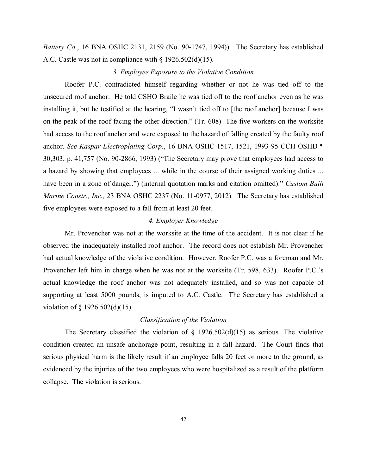*Battery Co*., 16 BNA OSHC 2131, 2159 (No. 90-1747, 1994)). The Secretary has established A.C. Castle was not in compliance with § 1926.502(d)(15).

## *3. Employee Exposure to the Violative Condition*

Roofer P.C. contradicted himself regarding whether or not he was tied off to the unsecured roof anchor. He told CSHO Braile he was tied off to the roof anchor even as he was installing it, but he testified at the hearing, "I wasn't tied off to [the roof anchor] because I was on the peak of the roof facing the other direction." (Tr. 608) The five workers on the worksite had access to the roof anchor and were exposed to the hazard of falling created by the faulty roof anchor. *See Kaspar Electroplating Corp.*, 16 BNA OSHC 1517, 1521, 1993-95 CCH OSHD ¶ 30,303, p. 41,757 (No. 90-2866, 1993) ("The Secretary may prove that employees had access to a hazard by showing that employees ... while in the course of their assigned working duties ... have been in a zone of danger.") (internal quotation marks and citation omitted)." *Custom Built Marine Constr., Inc.,* 23 BNA OSHC 2237 (No. 11-0977, 2012). The Secretary has established five employees were exposed to a fall from at least 20 feet.

# *4. Employer Knowledge*

Mr. Provencher was not at the worksite at the time of the accident. It is not clear if he observed the inadequately installed roof anchor. The record does not establish Mr. Provencher had actual knowledge of the violative condition. However, Roofer P.C. was a foreman and Mr. Provencher left him in charge when he was not at the worksite (Tr. 598, 633). Roofer P.C.'s actual knowledge the roof anchor was not adequately installed, and so was not capable of supporting at least 5000 pounds, is imputed to A.C. Castle. The Secretary has established a violation of § 1926.502(d)(15).

#### *Classification of the Violation*

The Secretary classified the violation of  $\S$  1926.502(d)(15) as serious. The violative condition created an unsafe anchorage point, resulting in a fall hazard. The Court finds that serious physical harm is the likely result if an employee falls 20 feet or more to the ground, as evidenced by the injuries of the two employees who were hospitalized as a result of the platform collapse. The violation is serious.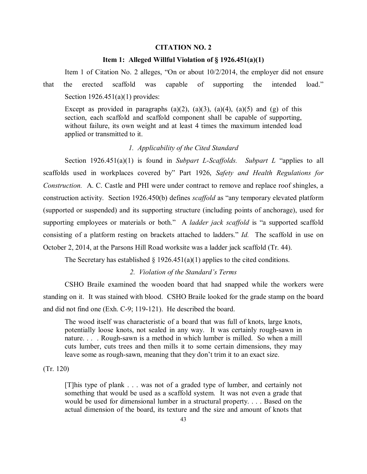## **CITATION NO. 2**

### **Item 1: Alleged Willful Violation of § 1926.451(a)(1)**

Item 1 of Citation No. 2 alleges, "On or about 10/2/2014, the employer did not ensure that the erected scaffold was capable of supporting the intended load." Section  $1926.451(a)(1)$  provides:

Except as provided in paragraphs  $(a)(2)$ ,  $(a)(3)$ ,  $(a)(4)$ ,  $(a)(5)$  and  $(g)$  of this section, each scaffold and scaffold component shall be capable of supporting, without failure, its own weight and at least 4 times the maximum intended load applied or transmitted to it.

# *1. Applicability of the Cited Standard*

Section 1926.451(a)(1) is found in *Subpart L-Scaffolds. Subpart L* "applies to all scaffolds used in workplaces covered by" Part 1926, *Safety and Health Regulations for Construction.* A. C. Castle and PHI were under contract to remove and replace roof shingles, a construction activity. Section 1926.450(b) defines *scaffold* as "any temporary elevated platform (supported or suspended) and its supporting structure (including points of anchorage), used for supporting employees or materials or both." A *ladder jack scaffold* is "a supported scaffold consisting of a platform resting on brackets attached to ladders." *Id.* The scaffold in use on October 2, 2014, at the Parsons Hill Road worksite was a ladder jack scaffold (Tr. 44).

The Secretary has established  $\S$  1926.451(a)(1) applies to the cited conditions.

### *2. Violation of the Standard's Terms*

CSHO Braile examined the wooden board that had snapped while the workers were standing on it. It was stained with blood. CSHO Braile looked for the grade stamp on the board and did not find one (Exh. C-9; 119-121). He described the board.

The wood itself was characteristic of a board that was full of knots, large knots, potentially loose knots, not sealed in any way. It was certainly rough-sawn in nature. . . . Rough-sawn is a method in which lumber is milled. So when a mill cuts lumber, cuts trees and then mills it to some certain dimensions, they may leave some as rough-sawn, meaning that they don't trim it to an exact size.

### (Tr. 120)

[T]his type of plank . . . was not of a graded type of lumber, and certainly not something that would be used as a scaffold system. It was not even a grade that would be used for dimensional lumber in a structural property. . . . Based on the actual dimension of the board, its texture and the size and amount of knots that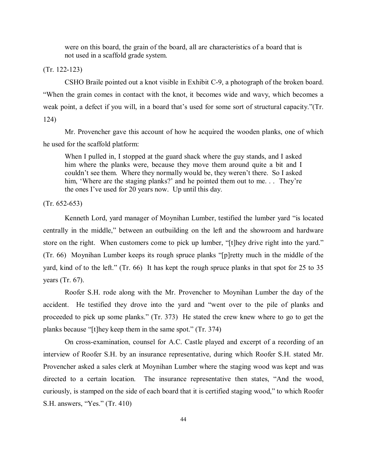were on this board, the grain of the board, all are characteristics of a board that is not used in a scaffold grade system.

(Tr. 122-123)

CSHO Braile pointed out a knot visible in Exhibit C-9, a photograph of the broken board. "When the grain comes in contact with the knot, it becomes wide and wavy, which becomes a weak point, a defect if you will, in a board that's used for some sort of structural capacity."(Tr. 124)

Mr. Provencher gave this account of how he acquired the wooden planks, one of which he used for the scaffold platform:

When I pulled in, I stopped at the guard shack where the guy stands, and I asked him where the planks were, because they move them around quite a bit and I couldn't see them. Where they normally would be, they weren't there. So I asked him, 'Where are the staging planks?' and he pointed them out to me. . . They're the ones I've used for 20 years now. Up until this day.

(Tr. 652-653)

Kenneth Lord, yard manager of Moynihan Lumber, testified the lumber yard "is located centrally in the middle," between an outbuilding on the left and the showroom and hardware store on the right. When customers come to pick up lumber, "[t]hey drive right into the yard." (Tr. 66) Moynihan Lumber keeps its rough spruce planks "[p]retty much in the middle of the yard, kind of to the left." (Tr. 66) It has kept the rough spruce planks in that spot for 25 to 35 years (Tr. 67).

Roofer S.H. rode along with the Mr. Provencher to Moynihan Lumber the day of the accident. He testified they drove into the yard and "went over to the pile of planks and proceeded to pick up some planks." (Tr. 373) He stated the crew knew where to go to get the planks because "[t]hey keep them in the same spot." (Tr. 374)

On cross-examination, counsel for A.C. Castle played and excerpt of a recording of an interview of Roofer S.H. by an insurance representative, during which Roofer S.H. stated Mr. Provencher asked a sales clerk at Moynihan Lumber where the staging wood was kept and was directed to a certain location. The insurance representative then states, "And the wood, curiously, is stamped on the side of each board that it is certified staging wood," to which Roofer S.H. answers, "Yes." (Tr. 410)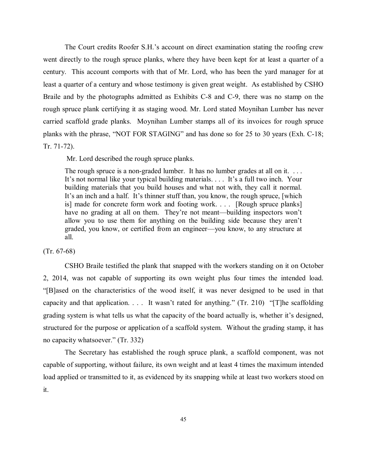The Court credits Roofer S.H.'s account on direct examination stating the roofing crew went directly to the rough spruce planks, where they have been kept for at least a quarter of a century. This account comports with that of Mr. Lord, who has been the yard manager for at least a quarter of a century and whose testimony is given great weight. As established by CSHO Braile and by the photographs admitted as Exhibits C-8 and C-9, there was no stamp on the rough spruce plank certifying it as staging wood. Mr. Lord stated Moynihan Lumber has never carried scaffold grade planks. Moynihan Lumber stamps all of its invoices for rough spruce planks with the phrase, "NOT FOR STAGING" and has done so for 25 to 30 years (Exh. C-18; Tr. 71-72).

Mr. Lord described the rough spruce planks.

The rough spruce is a non-graded lumber. It has no lumber grades at all on it. ... It's not normal like your typical building materials. . . . It's a full two inch. Your building materials that you build houses and what not with, they call it normal. It's an inch and a half. It's thinner stuff than, you know, the rough spruce, [which is] made for concrete form work and footing work. . . . [Rough spruce planks] have no grading at all on them. They're not meant—building inspectors won't allow you to use them for anything on the building side because they aren't graded, you know, or certified from an engineer—you know, to any structure at all.

(Tr. 67-68)

CSHO Braile testified the plank that snapped with the workers standing on it on October 2, 2014, was not capable of supporting its own weight plus four times the intended load. "[B]ased on the characteristics of the wood itself, it was never designed to be used in that capacity and that application. . . . It wasn't rated for anything." (Tr. 210) "[T]he scaffolding grading system is what tells us what the capacity of the board actually is, whether it's designed, structured for the purpose or application of a scaffold system. Without the grading stamp, it has no capacity whatsoever." (Tr. 332)

The Secretary has established the rough spruce plank, a scaffold component, was not capable of supporting, without failure, its own weight and at least 4 times the maximum intended load applied or transmitted to it, as evidenced by its snapping while at least two workers stood on it.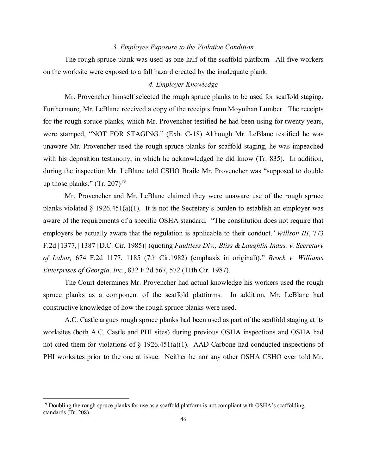#### *3. Employee Exposure to the Violative Condition*

The rough spruce plank was used as one half of the scaffold platform. All five workers on the worksite were exposed to a fall hazard created by the inadequate plank.

# *4. Employer Knowledge*

Mr. Provencher himself selected the rough spruce planks to be used for scaffold staging. Furthermore, Mr. LeBlanc received a copy of the receipts from Moynihan Lumber. The receipts for the rough spruce planks, which Mr. Provencher testified he had been using for twenty years, were stamped, "NOT FOR STAGING." (Exh. C-18) Although Mr. LeBlanc testified he was unaware Mr. Provencher used the rough spruce planks for scaffold staging, he was impeached with his deposition testimony, in which he acknowledged he did know (Tr. 835). In addition, during the inspection Mr. LeBlanc told CSHO Braile Mr. Provencher was "supposed to double up those planks."  $(Tr. 207)^{19}$  $(Tr. 207)^{19}$  $(Tr. 207)^{19}$ 

Mr. Provencher and Mr. LeBlanc claimed they were unaware use of the rough spruce planks violated  $\S$  1926.451(a)(1). It is not the Secretary's burden to establish an employer was aware of the requirements of a specific OSHA standard. "The constitution does not require that employers be actually aware that the regulation is applicable to their conduct.*' Willson III*, 773 F.2d [1377,] 1387 [D.C. Cir. 1985)] (quoting *Faultless Div., Bliss & Laughlin Indus. v. Secretary of Labor,* 674 F.2d 1177, 1185 (7th Cir.1982) (emphasis in original))." *Brock v. Williams Enterprises of Georgia, Inc.*, 832 F.2d 567, 572 (11th Cir. 1987).

The Court determines Mr. Provencher had actual knowledge his workers used the rough spruce planks as a component of the scaffold platforms. In addition, Mr. LeBlanc had constructive knowledge of how the rough spruce planks were used.

A.C. Castle argues rough spruce planks had been used as part of the scaffold staging at its worksites (both A.C. Castle and PHI sites) during previous OSHA inspections and OSHA had not cited them for violations of § 1926.451(a)(1). AAD Carbone had conducted inspections of PHI worksites prior to the one at issue. Neither he nor any other OSHA CSHO ever told Mr.

 $\overline{\phantom{a}}$ 

<span id="page-45-0"></span> $19$  Doubling the rough spruce planks for use as a scaffold platform is not compliant with OSHA's scaffolding standards (Tr. 208).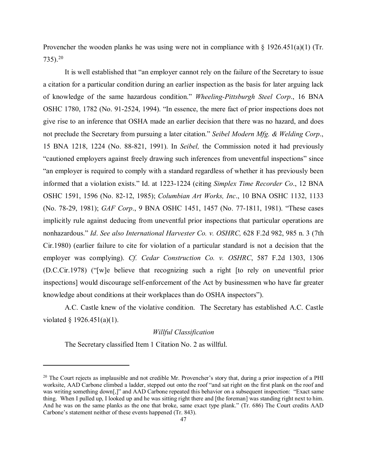Provencher the wooden planks he was using were not in compliance with § 1926.451(a)(1) (Tr.  $735$ ).<sup>20</sup>

It is well established that "an employer cannot rely on the failure of the Secretary to issue a citation for a particular condition during an earlier inspection as the basis for later arguing lack of knowledge of the same hazardous condition." *Wheeling-Pittsburgh Steel Corp*., 16 BNA OSHC 1780, 1782 (No. 91-2524, 1994). "In essence, the mere fact of prior inspections does not give rise to an inference that OSHA made an earlier decision that there was no hazard, and does not preclude the Secretary from pursuing a later citation." *Seibel Modern Mfg. & Welding Corp*., 15 BNA 1218, 1224 (No. 88-821, 1991). In *Seibel,* the Commission noted it had previously "cautioned employers against freely drawing such inferences from uneventful inspections" since "an employer is required to comply with a standard regardless of whether it has previously been informed that a violation exists." Id. at 1223-1224 (citing *Simplex Time Recorder Co*., 12 BNA OSHC 1591, 1596 (No. 82-12, 1985); *Columbian Art Works, Inc*., 10 BNA OSHC 1132, 1133 (No. 78-29, 1981); *GAF Corp*., 9 BNA OSHC 1451, 1457 (No. 77-1811, 1981). "These cases implicitly rule against deducing from uneventful prior inspections that particular operations are nonhazardous." *Id*. *See also International Harvester Co. v. OSHRC,* 628 F.2d 982, 985 n. 3 (7th Cir.1980) (earlier failure to cite for violation of a particular standard is not a decision that the employer was complying). *Cf. Cedar Construction Co. v. OSHRC*, 587 F.2d 1303, 1306 (D.C.Cir.1978) ("[w]e believe that recognizing such a right [to rely on uneventful prior inspections] would discourage self-enforcement of the Act by businessmen who have far greater knowledge about conditions at their workplaces than do OSHA inspectors").

A.C. Castle knew of the violative condition. The Secretary has established A.C. Castle violated § 1926.451(a)(1).

## *Willful Classification*

The Secretary classified Item 1 Citation No. 2 as willful.

l

<span id="page-46-0"></span><sup>&</sup>lt;sup>20</sup> The Court rejects as implausible and not credible Mr. Provencher's story that, during a prior inspection of a PHI worksite, AAD Carbone climbed a ladder, stepped out onto the roof "and sat right on the first plank on the roof and was writing something down[,]" and AAD Carbone repeated this behavior on a subsequent inspection: "Exact same thing. When I pulled up, I looked up and he was sitting right there and [the foreman] was standing right next to him. And he was on the same planks as the one that broke, same exact type plank." (Tr. 686) The Court credits AAD Carbone's statement neither of these events happened (Tr. 843).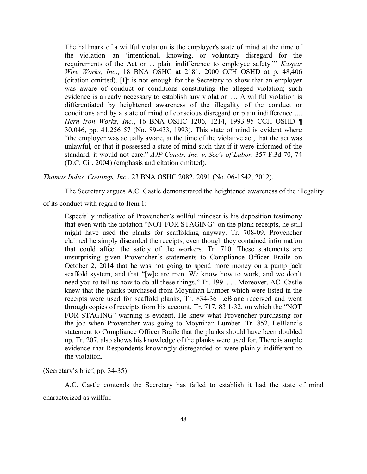The hallmark of a willful violation is the employer's state of mind at the time of the violation—an 'intentional, knowing, or voluntary disregard for the requirements of the Act or ... plain indifference to employee safety."' *Kaspar Wire Works, Inc*., 18 BNA OSHC at 2181, 2000 CCH OSHD at p. 48,406 (citation omitted). [I]t is not enough for the Secretary to show that an employer was aware of conduct or conditions constituting the alleged violation; such evidence is already necessary to establish any violation .... A willful violation is differentiated by heightened awareness of the illegality of the conduct or conditions and by a state of mind of conscious disregard or plain indifference .... *Hern Iron Works, Inc.*, 16 BNA OSHC 1206, 1214, 1993-95 CCH OSHD ¶ 30,046, pp. 41,256 57 (No. 89-433, 1993). This state of mind is evident where "the employer was actually aware, at the time of the violative act, that the act was unlawful, or that it possessed a state of mind such that if it were informed of the standard, it would not care." *AJP Constr. Inc. v. Sec'y of Labor*, 357 F.3d 70, 74 (D.C. Cir. 2004) (emphasis and citation omitted).

*Thomas Indus. Coatings, Inc*., 23 BNA OSHC 2082, 2091 (No. 06-1542, 2012).

The Secretary argues A.C. Castle demonstrated the heightened awareness of the illegality

of its conduct with regard to Item 1:

Especially indicative of Provencher's willful mindset is his deposition testimony that even with the notation "NOT FOR STAGING" on the plank receipts, he still might have used the planks for scaffolding anyway. Tr. 708-09. Provencher claimed he simply discarded the receipts, even though they contained information that could affect the safety of the workers. Tr. 710. These statements are unsurprising given Provencher's statements to Compliance Officer Braile on October 2, 2014 that he was not going to spend more money on a pump jack scaffold system, and that "[w]e are men. We know how to work, and we don't need you to tell us how to do all these things." Tr. 199. . . . Moreover, AC. Castle knew that the planks purchased from Moynihan Lumber which were listed in the receipts were used for scaffold planks, Tr. 834-36 LeBlanc received and went through copies of receipts from his account. Tr. 717, 83 1-32, on which the "NOT FOR STAGING" warning is evident. He knew what Provencher purchasing for the job when Provencher was going to Moynihan Lumber. Tr. 852. LeBlanc's statement to Compliance Officer Braile that the planks should have been doubled up, Tr. 207, also shows his knowledge of the planks were used for. There is ample evidence that Respondents knowingly disregarded or were plainly indifferent to the violation.

(Secretary's brief, pp. 34-35)

A.C. Castle contends the Secretary has failed to establish it had the state of mind characterized as willful: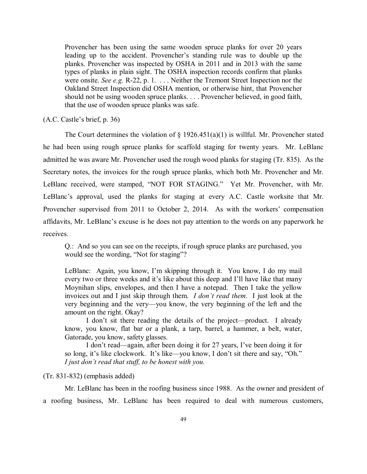Provencher has been using the same wooden spruce planks for over 20 years leading up to the accident. Provencher's standing rule was to double up the planks. Provencher was inspected by OSHA in 2011 and in 2013 with the same types of planks in plain sight. The OSHA inspection records confirm that planks were onsite. *See e.g.* R-22, p. 1. . . . Neither the Tremont Street Inspection nor the Oakland Street Inspection did OSHA mention, or otherwise hint, that Provencher should not be using wooden spruce planks. . . . Provencher believed, in good faith, that the use of wooden spruce planks was safe.

(A.C. Castle's brief, p. 36)

The Court determines the violation of  $\S$  1926.451(a)(1) is willful. Mr. Provencher stated he had been using rough spruce planks for scaffold staging for twenty years. Mr. LeBlanc admitted he was aware Mr. Provencher used the rough wood planks for staging (Tr. 835). As the Secretary notes, the invoices for the rough spruce planks, which both Mr. Provencher and Mr. LeBlanc received, were stamped, "NOT FOR STAGING." Yet Mr. Provencher, with Mr. LeBlanc's approval, used the planks for staging at every A.C. Castle worksite that Mr. Provencher supervised from 2011 to October 2, 2014. As with the workers' compensation affidavits, Mr. LeBlanc's excuse is he does not pay attention to the words on any paperwork he receives.

Q.: And so you can see on the receipts, if rough spruce planks are purchased, you would see the wording, "Not for staging"?

LeBlanc: Again, you know, I'm skipping through it. You know, I do my mail every two or three weeks and it's like about this deep and I'll have like that many Moynihan slips, envelopes, and then I have a notepad. Then I take the yellow invoices out and I just skip through them. *I don't read them*. I just look at the very beginning and the very—you know, the very beginning of the left and the amount on the right. Okay?

I don't sit there reading the details of the project—product. I already know, you know, flat bar or a plank, a tarp, barrel, a hammer, a belt, water, Gatorade, you know, safety glasses.

I don't read—again, after been doing it for 27 years, I've been doing it for so long, it's like clockwork. It's like—you know, I don't sit there and say, "Oh." *I just don't read that stuff, to be honest with you.*

### (Tr. 831-832) (emphasis added)

Mr. LeBlanc has been in the roofing business since 1988. As the owner and president of a roofing business, Mr. LeBlanc has been required to deal with numerous customers,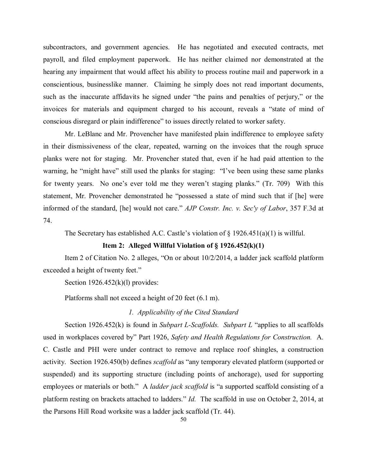subcontractors, and government agencies. He has negotiated and executed contracts, met payroll, and filed employment paperwork. He has neither claimed nor demonstrated at the hearing any impairment that would affect his ability to process routine mail and paperwork in a conscientious, businesslike manner. Claiming he simply does not read important documents, such as the inaccurate affidavits he signed under "the pains and penalties of perjury," or the invoices for materials and equipment charged to his account, reveals a "state of mind of conscious disregard or plain indifference" to issues directly related to worker safety.

Mr. LeBlanc and Mr. Provencher have manifested plain indifference to employee safety in their dismissiveness of the clear, repeated, warning on the invoices that the rough spruce planks were not for staging. Mr. Provencher stated that, even if he had paid attention to the warning, he "might have" still used the planks for staging: "I've been using these same planks for twenty years. No one's ever told me they weren't staging planks." (Tr. 709) With this statement, Mr. Provencher demonstrated he "possessed a state of mind such that if [he] were informed of the standard, [he] would not care." *AJP Constr. Inc. v. Sec'y of Labor*, 357 F.3d at 74.

The Secretary has established A.C. Castle's violation of  $\S$  1926.451(a)(1) is willful.

## **Item 2: Alleged Willful Violation of § 1926.452(k)(1)**

Item 2 of Citation No. 2 alleges, "On or about 10/2/2014, a ladder jack scaffold platform exceeded a height of twenty feet."

Section  $1926.452(k)(l)$  provides:

Platforms shall not exceed a height of 20 feet (6.1 m).

#### *1. Applicability of the Cited Standard*

Section 1926.452(k) is found in *Subpart L-Scaffolds. Subpart L* "applies to all scaffolds used in workplaces covered by" Part 1926, *Safety and Health Regulations for Construction.* A. C. Castle and PHI were under contract to remove and replace roof shingles, a construction activity. Section 1926.450(b) defines *scaffold* as "any temporary elevated platform (supported or suspended) and its supporting structure (including points of anchorage), used for supporting employees or materials or both." A *ladder jack scaffold* is "a supported scaffold consisting of a platform resting on brackets attached to ladders." *Id.* The scaffold in use on October 2, 2014, at the Parsons Hill Road worksite was a ladder jack scaffold (Tr. 44).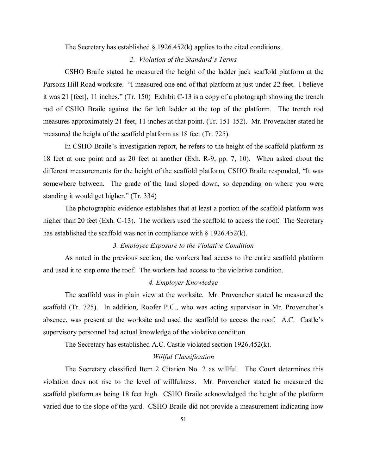The Secretary has established  $\S$  1926.452(k) applies to the cited conditions.

# *2. Violation of the Standard's Terms*

CSHO Braile stated he measured the height of the ladder jack scaffold platform at the Parsons Hill Road worksite. "I measured one end of that platform at just under 22 feet. I believe it was 21 [feet], 11 inches." (Tr. 150) Exhibit C-13 is a copy of a photograph showing the trench rod of CSHO Braile against the far left ladder at the top of the platform. The trench rod measures approximately 21 feet, 11 inches at that point. (Tr. 151-152). Mr. Provencher stated he measured the height of the scaffold platform as 18 feet (Tr. 725).

In CSHO Braile's investigation report, he refers to the height of the scaffold platform as 18 feet at one point and as 20 feet at another (Exh. R-9, pp. 7, 10). When asked about the different measurements for the height of the scaffold platform, CSHO Braile responded, "It was somewhere between. The grade of the land sloped down, so depending on where you were standing it would get higher." (Tr. 334)

The photographic evidence establishes that at least a portion of the scaffold platform was higher than 20 feet (Exh. C-13). The workers used the scaffold to access the roof. The Secretary has established the scaffold was not in compliance with  $\S$  1926.452(k).

## *3. Employee Exposure to the Violative Condition*

As noted in the previous section, the workers had access to the entire scaffold platform and used it to step onto the roof. The workers had access to the violative condition.

## *4. Employer Knowledge*

The scaffold was in plain view at the worksite. Mr. Provencher stated he measured the scaffold (Tr. 725). In addition, Roofer P.C., who was acting supervisor in Mr. Provencher's absence, was present at the worksite and used the scaffold to access the roof. A.C. Castle's supervisory personnel had actual knowledge of the violative condition.

The Secretary has established A.C. Castle violated section 1926.452(k).

## *Willful Classification*

The Secretary classified Item 2 Citation No. 2 as willful. The Court determines this violation does not rise to the level of willfulness. Mr. Provencher stated he measured the scaffold platform as being 18 feet high. CSHO Braile acknowledged the height of the platform varied due to the slope of the yard. CSHO Braile did not provide a measurement indicating how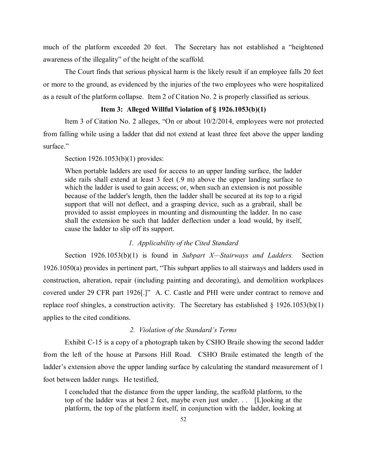much of the platform exceeded 20 feet. The Secretary has not established a "heightened awareness of the illegality" of the height of the scaffold.

The Court finds that serious physical harm is the likely result if an employee falls 20 feet or more to the ground, as evidenced by the injuries of the two employees who were hospitalized as a result of the platform collapse. Item 2 of Citation No. 2 is properly classified as serious.

## **Item 3: Alleged Willful Violation of § 1926.1053(b)(1)**

Item 3 of Citation No. 2 alleges, "On or about 10/2/2014, employees were not protected from falling while using a ladder that did not extend at least three feet above the upper landing surface."

#### Section 1926.1053(b)(1) provides:

When portable ladders are used for access to an upper landing surface, the ladder side rails shall extend at least 3 feet (.9 m) above the upper landing surface to which the ladder is used to gain access; or, when such an extension is not possible because of the ladder's length, then the ladder shall be secured at its top to a rigid support that will not deflect, and a grasping device, such as a grabrail, shall be provided to assist employees in mounting and dismounting the ladder. In no case shall the extension be such that ladder deflection under a load would, by itself, cause the ladder to slip off its support.

## *1. Applicability of the Cited Standard*

Section 1926.1053(b)(1) is found in *Subpart X—Stairways and Ladders.* Section 1926.1050(a) provides in pertinent part, "This subpart applies to all stairways and ladders used in construction, alteration, repair (including painting and decorating), and demolition workplaces covered under 29 CFR part 1926[.]" A. C. Castle and PHI were under contract to remove and replace roof shingles, a construction activity. The Secretary has established  $\S$  1926.1053(b)(1) applies to the cited conditions.

### *2. Violation of the Standard's Terms*

Exhibit C-15 is a copy of a photograph taken by CSHO Braile showing the second ladder from the left of the house at Parsons Hill Road. CSHO Braile estimated the length of the ladder's extension above the upper landing surface by calculating the standard measurement of 1 foot between ladder rungs. He testified,

I concluded that the distance from the upper landing, the scaffold platform, to the top of the ladder was at best 2 feet, maybe even just under. . . [L]ooking at the platform, the top of the platform itself, in conjunction with the ladder, looking at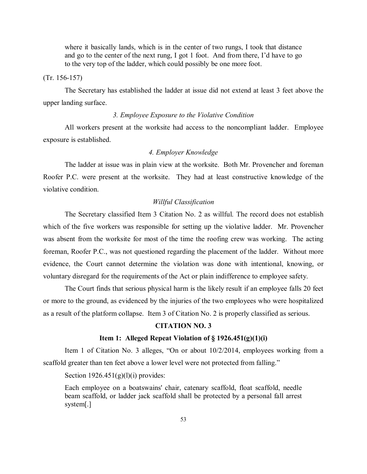where it basically lands, which is in the center of two rungs, I took that distance and go to the center of the next rung, I got 1 foot. And from there, I'd have to go to the very top of the ladder, which could possibly be one more foot.

#### (Tr. 156-157)

The Secretary has established the ladder at issue did not extend at least 3 feet above the upper landing surface.

## *3. Employee Exposure to the Violative Condition*

All workers present at the worksite had access to the noncompliant ladder. Employee exposure is established.

## *4. Employer Knowledge*

The ladder at issue was in plain view at the worksite. Both Mr. Provencher and foreman Roofer P.C. were present at the worksite. They had at least constructive knowledge of the violative condition.

## *Willful Classification*

The Secretary classified Item 3 Citation No. 2 as willful. The record does not establish which of the five workers was responsible for setting up the violative ladder. Mr. Provencher was absent from the worksite for most of the time the roofing crew was working. The acting foreman, Roofer P.C., was not questioned regarding the placement of the ladder. Without more evidence, the Court cannot determine the violation was done with intentional, knowing, or voluntary disregard for the requirements of the Act or plain indifference to employee safety.

The Court finds that serious physical harm is the likely result if an employee falls 20 feet or more to the ground, as evidenced by the injuries of the two employees who were hospitalized as a result of the platform collapse. Item 3 of Citation No. 2 is properly classified as serious.

# **CITATION NO. 3**

#### **Item 1: Alleged Repeat Violation of § 1926.451(g)(1)(i)**

Item 1 of Citation No. 3 alleges, "On or about 10/2/2014, employees working from a scaffold greater than ten feet above a lower level were not protected from falling."

Section  $1926.451(g)(l)(i)$  provides:

Each employee on a boatswains' chair, catenary scaffold, float scaffold, needle beam scaffold, or ladder jack scaffold shall be protected by a personal fall arrest system[.]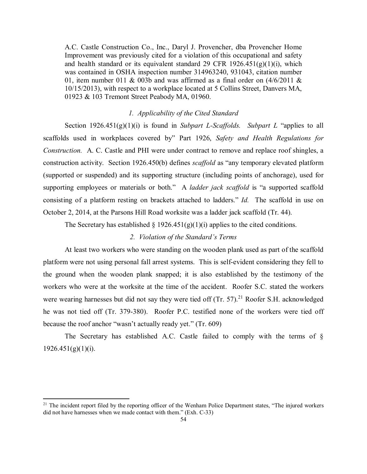A.C. Castle Construction Co., Inc., Daryl J. Provencher, dba Provencher Home Improvement was previously cited for a violation of this occupational and safety and health standard or its equivalent standard 29 CFR  $1926.451(g)(1)(i)$ , which was contained in OSHA inspection number 314963240, 931043, citation number 01, item number 011 & 003b and was affirmed as a final order on  $(4/6/2011 \&$ 10/15/2013), with respect to a workplace located at 5 Collins Street, Danvers MA, 01923 & 103 Tremont Street Peabody MA, 01960.

## *1. Applicability of the Cited Standard*

Section 1926.451(g)(1)(i) is found in *Subpart L-Scaffolds. Subpart L* "applies to all scaffolds used in workplaces covered by" Part 1926, *Safety and Health Regulations for Construction.* A. C. Castle and PHI were under contract to remove and replace roof shingles, a construction activity. Section 1926.450(b) defines *scaffold* as "any temporary elevated platform (supported or suspended) and its supporting structure (including points of anchorage), used for supporting employees or materials or both." A *ladder jack scaffold* is "a supported scaffold consisting of a platform resting on brackets attached to ladders." *Id.* The scaffold in use on October 2, 2014, at the Parsons Hill Road worksite was a ladder jack scaffold (Tr. 44).

The Secretary has established § 1926.451(g)(1)(i) applies to the cited conditions.

## *2. Violation of the Standard's Terms*

At least two workers who were standing on the wooden plank used as part of the scaffold platform were not using personal fall arrest systems. This is self-evident considering they fell to the ground when the wooden plank snapped; it is also established by the testimony of the workers who were at the worksite at the time of the accident. Roofer S.C. stated the workers were wearing harnesses but did not say they were tied off  $(Tr. 57)$ .<sup>[21](#page-53-0)</sup> Roofer S.H. acknowledged he was not tied off (Tr. 379-380). Roofer P.C. testified none of the workers were tied off because the roof anchor "wasn't actually ready yet." (Tr. 609)

The Secretary has established A.C. Castle failed to comply with the terms of §  $1926.451(g)(1)(i)$ .

 $\overline{\phantom{a}}$ 

<span id="page-53-0"></span><sup>&</sup>lt;sup>21</sup> The incident report filed by the reporting officer of the Wenham Police Department states, "The injured workers did not have harnesses when we made contact with them." (Exh. C-33)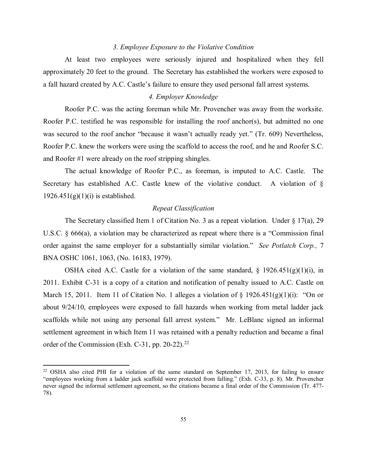### *3. Employee Exposure to the Violative Condition*

At least two employees were seriously injured and hospitalized when they fell approximately 20 feet to the ground. The Secretary has established the workers were exposed to a fall hazard created by A.C. Castle's failure to ensure they used personal fall arrest systems.

## *4. Employer Knowledge*

Roofer P.C. was the acting foreman while Mr. Provencher was away from the worksite. Roofer P.C. testified he was responsible for installing the roof anchor(s), but admitted no one was secured to the roof anchor "because it wasn't actually ready yet." (Tr. 609) Nevertheless, Roofer P.C. knew the workers were using the scaffold to access the roof, and he and Roofer S.C. and Roofer #1 were already on the roof stripping shingles.

The actual knowledge of Roofer P.C., as foreman, is imputed to A.C. Castle. The Secretary has established A.C. Castle knew of the violative conduct. A violation of §  $1926.451(g)(1)(i)$  is established.

## *Repeat Classification*

The Secretary classified Item 1 of Citation No. 3 as a repeat violation. Under  $\S 17(a)$ , 29 U.S.C. § 666(a), a violation may be characterized as repeat where there is a "Commission final order against the same employer for a substantially similar violation." *See Potlatch Corp.,* 7 BNA OSHC 1061, 1063, (No. 16183, 1979).

OSHA cited A.C. Castle for a violation of the same standard,  $\S$  1926.451(g)(1)(i), in 2011. Exhibit C-31 is a copy of a citation and notification of penalty issued to A.C. Castle on March 15, 2011. Item 11 of Citation No. 1 alleges a violation of  $\S$  1926.451(g)(1)(i): "On or about 9/24/10, employees were exposed to fall hazards when working from metal ladder jack scaffolds while not using any personal fall arrest system." Mr. LeBlanc signed an informal settlement agreement in which Item 11 was retained with a penalty reduction and became a final order of the Commission (Exh. C-31, pp. 20-[22](#page-54-0)).<sup>22</sup>

l

<span id="page-54-0"></span><sup>&</sup>lt;sup>22</sup> OSHA also cited PHI for a violation of the same standard on September 17, 2013, for failing to ensure "employees working from a ladder jack scaffold were protected from falling." (Exh. C-33, p. 8). Mr. Provencher never signed the informal settlement agreement, so the citations became a final order of the Commission (Tr. 477- 78).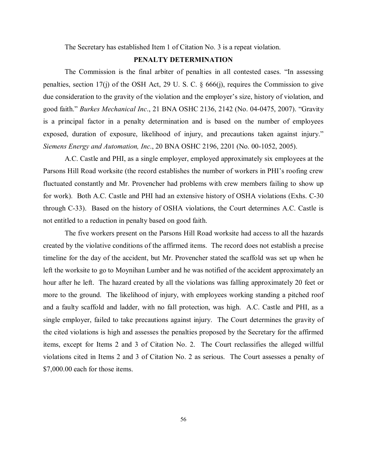The Secretary has established Item 1 of Citation No. 3 is a repeat violation.

# **PENALTY DETERMINATION**

The Commission is the final arbiter of penalties in all contested cases. "In assessing penalties, section 17(j) of the OSH Act, 29 U. S. C. § 666(j), requires the Commission to give due consideration to the gravity of the violation and the employer's size, history of violation, and good faith." *Burkes Mechanical Inc*., 21 BNA OSHC 2136, 2142 (No. 04-0475, 2007). "Gravity is a principal factor in a penalty determination and is based on the number of employees exposed, duration of exposure, likelihood of injury, and precautions taken against injury." *Siemens Energy and Automation, Inc*., 20 BNA OSHC 2196, 2201 (No. 00-1052, 2005).

A.C. Castle and PHI, as a single employer, employed approximately six employees at the Parsons Hill Road worksite (the record establishes the number of workers in PHI's roofing crew fluctuated constantly and Mr. Provencher had problems with crew members failing to show up for work). Both A.C. Castle and PHI had an extensive history of OSHA violations (Exhs. C-30 through C-33). Based on the history of OSHA violations, the Court determines A.C. Castle is not entitled to a reduction in penalty based on good faith.

The five workers present on the Parsons Hill Road worksite had access to all the hazards created by the violative conditions of the affirmed items. The record does not establish a precise timeline for the day of the accident, but Mr. Provencher stated the scaffold was set up when he left the worksite to go to Moynihan Lumber and he was notified of the accident approximately an hour after he left. The hazard created by all the violations was falling approximately 20 feet or more to the ground. The likelihood of injury, with employees working standing a pitched roof and a faulty scaffold and ladder, with no fall protection, was high. A.C. Castle and PHI, as a single employer, failed to take precautions against injury. The Court determines the gravity of the cited violations is high and assesses the penalties proposed by the Secretary for the affirmed items, except for Items 2 and 3 of Citation No. 2. The Court reclassifies the alleged willful violations cited in Items 2 and 3 of Citation No. 2 as serious. The Court assesses a penalty of \$7,000.00 each for those items.